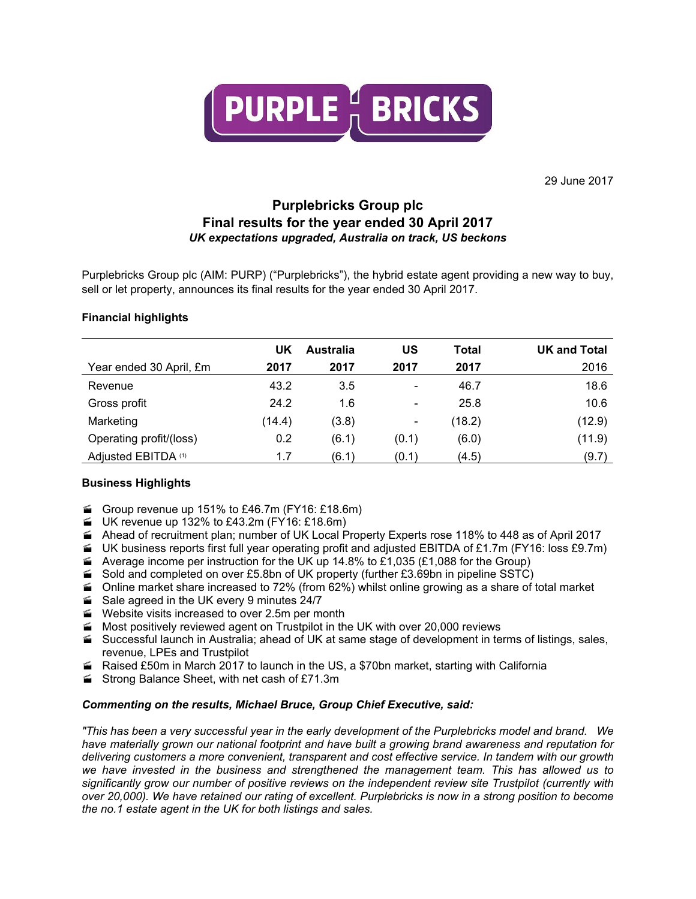

29 June 2017

# **Purplebricks Group plc Final results for the year ended 30 April 2017** *UK expectations upgraded, Australia on track, US beckons*

Purplebricks Group plc (AIM: PURP) ("Purplebricks"), the hybrid estate agent providing a new way to buy, sell or let property, announces its final results for the year ended 30 April 2017.

## **Financial highlights**

|                         | UK     | Australia | บร                           | Total  | <b>UK and Total</b> |
|-------------------------|--------|-----------|------------------------------|--------|---------------------|
| Year ended 30 April, £m | 2017   | 2017      | 2017                         | 2017   | 2016                |
| Revenue                 | 43.2   | 3.5       | $\qquad \qquad \blacksquare$ | 46.7   | 18.6                |
| Gross profit            | 24.2   | 1.6       | $\qquad \qquad \blacksquare$ | 25.8   | 10.6                |
| Marketing               | (14.4) | (3.8)     | $\overline{\phantom{a}}$     | (18.2) | (12.9)              |
| Operating profit/(loss) | 0.2    | (6.1)     | (0.1)                        | (6.0)  | (11.9)              |
| Adjusted EBITDA (1)     | 1.7    | (6.1)     | (0.1)                        | (4.5)  | (9.7)               |

## **Business Highlights**

- Group revenue up 151% to £46.7m (FY16: £18.6m)
- $\blacktriangleright$  UK revenue up 132% to £43.2m (FY16: £18.6m)
- Ahead of recruitment plan; number of UK Local Property Experts rose 118% to 448 as of April 2017
- $\blacktriangleright$  UK business reports first full year operating profit and adjusted EBITDA of £1.7m (FY16: loss £9.7m)
- Average income per instruction for the UK up 14.8% to £1,035 (£1,088 for the Group)
- $\leq$  Sold and completed on over £5.8bn of UK property (further £3.69bn in pipeline SSTC)
- $\blacktriangle$  Online market share increased to 72% (from 62%) whilst online growing as a share of total market
- Sale agreed in the UK every 9 minutes 24/7
- Website visits increased to over 2.5m per month
- $\blacktriangleright$  Most positively reviewed agent on Trustpilot in the UK with over 20,000 reviews
- Successful launch in Australia; ahead of UK at same stage of development in terms of listings, sales, revenue, LPEs and Trustpilot
- Raised £50m in March 2017 to launch in the US, a \$70bn market, starting with California
- Strong Balance Sheet, with net cash of £71.3m

## *Commenting on the results, Michael Bruce, Group Chief Executive, said:*

"This has been a very successful year in the early development of the Purplebricks model and brand. We *have materially grown our national footprint and have built a growing brand awareness and reputation for delivering customers a more convenient, transparent and cost effective service. In tandem with our growth we have invested in the business and strengthened the management team. This has allowed us to significantly grow our number of positive reviews on the independent review site Trustpilot (currently with* over 20,000). We have retained our rating of excellent. Purplebricks is now in a strong position to become *the no.1 estate agent in the UK for both listings and sales.*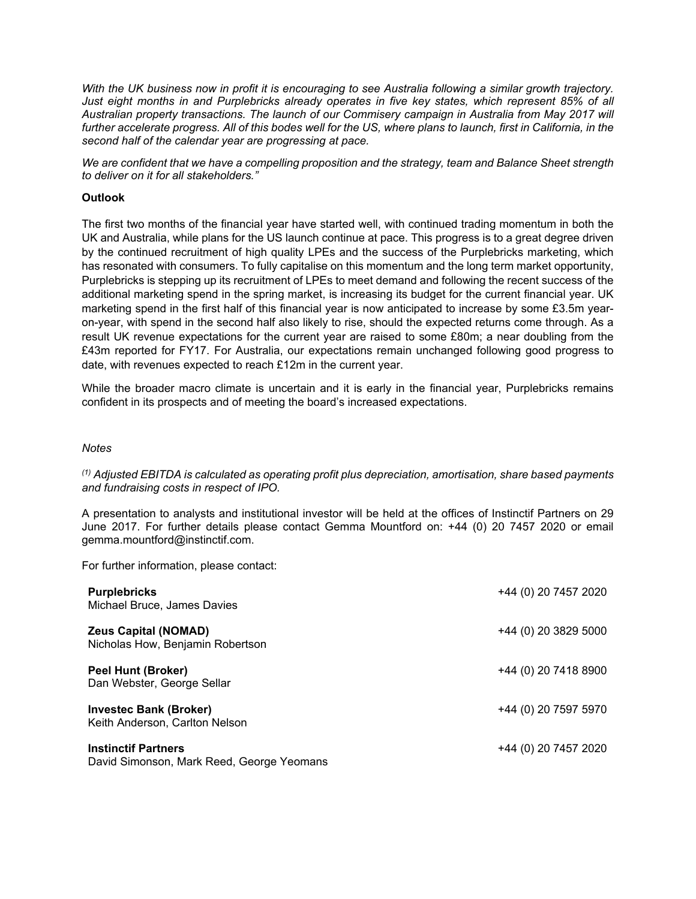With the UK business now in profit it is encouraging to see Australia following a similar growth trajectory. *Just eight months in and Purplebricks already operates in five key states, which represent 85% of all Australian property transactions. The launch of our Commisery campaign in Australia from May 2017 will* further accelerate progress. All of this bodes well for the US, where plans to launch, first in California, in the *second half of the calendar year are progressing at pace.*

*We are confident that we have a compelling proposition and the strategy, team and Balance Sheet strength to deliver on it for all stakeholders."*

### **Outlook**

The first two months of the financial year have started well, with continued trading momentum in both the UK and Australia, while plans for the US launch continue at pace. This progress is to a great degree driven by the continued recruitment of high quality LPEs and the success of the Purplebricks marketing, which has resonated with consumers. To fully capitalise on this momentum and the long term market opportunity, Purplebricks is stepping up its recruitment of LPEs to meet demand and following the recent success of the additional marketing spend in the spring market, is increasing its budget for the current financial year. UK marketing spend in the first half of this financial year is now anticipated to increase by some £3.5m yearon-year, with spend in the second half also likely to rise, should the expected returns come through. As a result UK revenue expectations for the current year are raised to some £80m; a near doubling from the £43m reported for FY17. For Australia, our expectations remain unchanged following good progress to date, with revenues expected to reach £12m in the current year.

While the broader macro climate is uncertain and it is early in the financial year, Purplebricks remains confident in its prospects and of meeting the board's increased expectations.

#### *Notes*

*(1) Adjusted EBITDA is calculated as operating profit plus depreciation, amortisation, share based payments and fundraising costs in respect of IPO.*

A presentation to analysts and institutional investor will be held at the offices of Instinctif Partners on 29 June 2017. For further details please contact Gemma Mountford on: +44 (0) 20 7457 2020 or email gemma.mountford@instinctif.com.

For further information, please contact:

| <b>Purplebricks</b><br>Michael Bruce, James Davies                      | +44 (0) 20 7457 2020 |
|-------------------------------------------------------------------------|----------------------|
| <b>Zeus Capital (NOMAD)</b><br>Nicholas How, Benjamin Robertson         | +44 (0) 20 3829 5000 |
| <b>Peel Hunt (Broker)</b><br>Dan Webster, George Sellar                 | +44 (0) 20 7418 8900 |
| <b>Investec Bank (Broker)</b><br>Keith Anderson, Carlton Nelson         | +44 (0) 20 7597 5970 |
| <b>Instinctif Partners</b><br>David Simonson, Mark Reed, George Yeomans | +44 (0) 20 7457 2020 |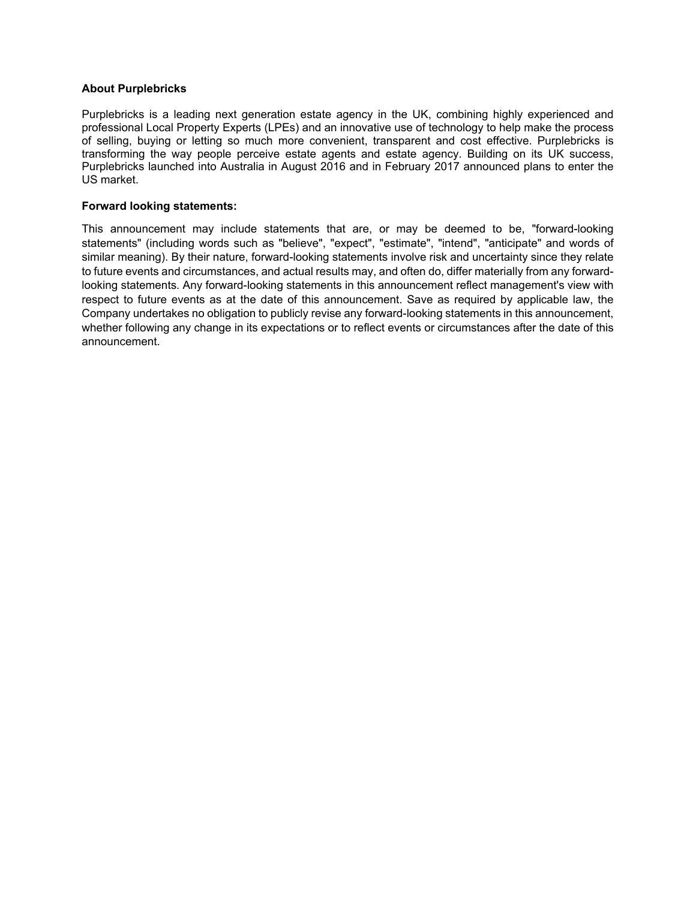### **About Purplebricks**

Purplebricks is a leading next generation estate agency in the UK, combining highly experienced and professional Local Property Experts (LPEs) and an innovative use of technology to help make the process of selling, buying or letting so much more convenient, transparent and cost effective. Purplebricks is transforming the way people perceive estate agents and estate agency. Building on its UK success, Purplebricks launched into Australia in August 2016 and in February 2017 announced plans to enter the US market.

#### **Forward looking statements:**

This announcement may include statements that are, or may be deemed to be, "forward-looking statements" (including words such as "believe", "expect", "estimate", "intend", "anticipate" and words of similar meaning). By their nature, forward-looking statements involve risk and uncertainty since they relate to future events and circumstances, and actual results may, and often do, differ materially from any forwardlooking statements. Any forward-looking statements in this announcement reflect management's view with respect to future events as at the date of this announcement. Save as required by applicable law, the Company undertakes no obligation to publicly revise any forward-looking statements in this announcement, whether following any change in its expectations or to reflect events or circumstances after the date of this announcement.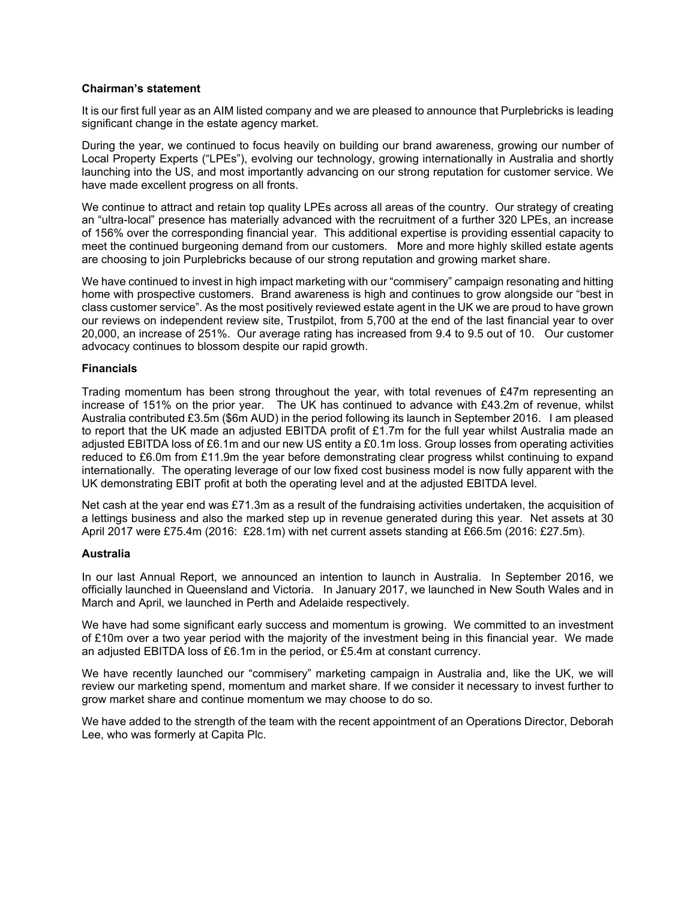### **Chairman's statement**

It is our first full year as an AIM listed company and we are pleased to announce that Purplebricks is leading significant change in the estate agency market.

During the year, we continued to focus heavily on building our brand awareness, growing our number of Local Property Experts ("LPEs"), evolving our technology, growing internationally in Australia and shortly launching into the US, and most importantly advancing on our strong reputation for customer service. We have made excellent progress on all fronts.

We continue to attract and retain top quality LPEs across all areas of the country. Our strategy of creating an "ultra-local" presence has materially advanced with the recruitment of a further 320 LPEs, an increase of 156% over the corresponding financial year. This additional expertise is providing essential capacity to meet the continued burgeoning demand from our customers. More and more highly skilled estate agents are choosing to join Purplebricks because of our strong reputation and growing market share.

We have continued to invest in high impact marketing with our "commisery" campaign resonating and hitting home with prospective customers. Brand awareness is high and continues to grow alongside our "best in class customer service". As the most positively reviewed estate agent in the UK we are proud to have grown our reviews on independent review site. Trustpilot, from 5,700 at the end of the last financial year to over 20,000, an increase of 251%. Our average rating has increased from 9.4 to 9.5 out of 10. Our customer advocacy continues to blossom despite our rapid growth.

### **Financials**

Trading momentum has been strong throughout the year, with total revenues of £47m representing an increase of 151% on the prior year. The UK has continued to advance with £43.2m of revenue, whilst Australia contributed £3.5m (\$6m AUD) in the period following its launch in September 2016. I am pleased to report that the UK made an adjusted EBITDA profit of £1.7m for the full year whilst Australia made an adjusted EBITDA loss of £6.1m and our new US entity a £0.1m loss. Group losses from operating activities reduced to £6.0m from £11.9m the year before demonstrating clear progress whilst continuing to expand internationally. The operating leverage of our low fixed cost business model is now fully apparent with the UK demonstrating EBIT profit at both the operating level and at the adjusted EBITDA level.

Net cash at the year end was £71.3m as a result of the fundraising activities undertaken, the acquisition of a lettings business and also the marked step up in revenue generated during this year. Net assets at 30 April 2017 were £75.4m (2016: £28.1m) with net current assets standing at £66.5m (2016: £27.5m).

### **Australia**

In our last Annual Report, we announced an intention to launch in Australia. In September 2016, we officially launched in Queensland and Victoria. In January 2017, we launched in New South Wales and in March and April, we launched in Perth and Adelaide respectively.

We have had some significant early success and momentum is growing. We committed to an investment of £10m over a two year period with the majority of the investment being in this financial year. We made an adjusted EBITDA loss of £6.1m in the period, or £5.4m at constant currency.

We have recently launched our "commisery" marketing campaign in Australia and, like the UK, we will review our marketing spend, momentum and market share. If we consider it necessary to invest further to grow market share and continue momentum we may choose to do so.

We have added to the strength of the team with the recent appointment of an Operations Director, Deborah Lee, who was formerly at Capita Plc.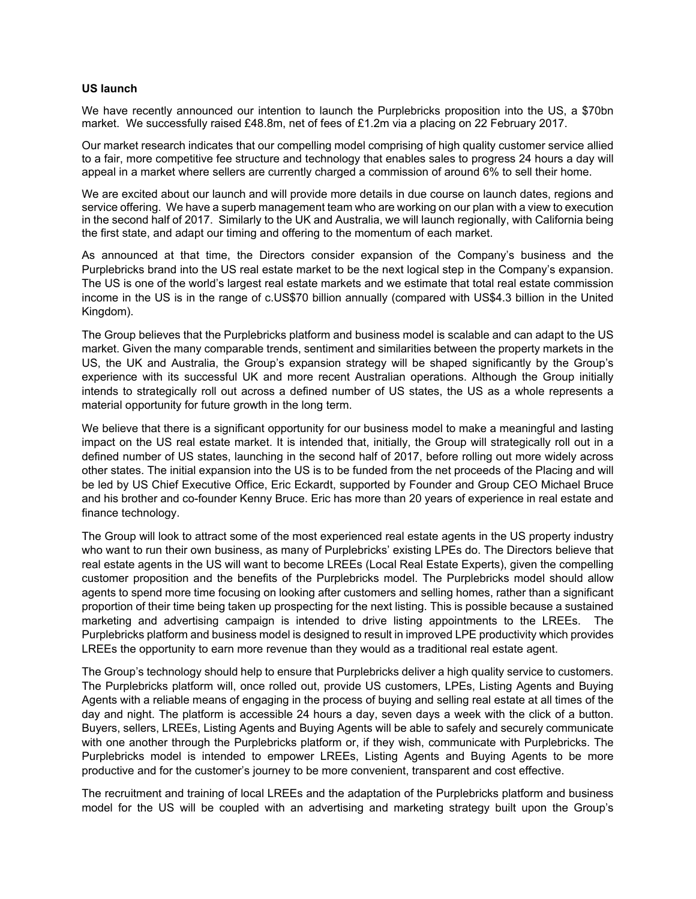#### **US launch**

We have recently announced our intention to launch the Purplebricks proposition into the US, a \$70bn market. We successfully raised £48.8m, net of fees of £1.2m via a placing on 22 February 2017.

Our market research indicates that our compelling model comprising of high quality customer service allied to a fair, more competitive fee structure and technology that enables sales to progress 24 hours a day will appeal in a market where sellers are currently charged a commission of around 6% to sell their home.

We are excited about our launch and will provide more details in due course on launch dates, regions and service offering. We have a superb management team who are working on our plan with a view to execution in the second half of 2017. Similarly to the UK and Australia, we will launch regionally, with California being the first state, and adapt our timing and offering to the momentum of each market.

As announced at that time, the Directors consider expansion of the Company's business and the Purplebricks brand into the US real estate market to be the next logical step in the Company's expansion. The US is one of the world's largest real estate markets and we estimate that total real estate commission income in the US is in the range of c.US\$70 billion annually (compared with US\$4.3 billion in the United Kingdom).

The Group believes that the Purplebricks platform and business model is scalable and can adapt to the US market. Given the many comparable trends, sentiment and similarities between the property markets in the US, the UK and Australia, the Group's expansion strategy will be shaped significantly by the Group's experience with its successful UK and more recent Australian operations. Although the Group initially intends to strategically roll out across a defined number of US states, the US as a whole represents a material opportunity for future growth in the long term.

We believe that there is a significant opportunity for our business model to make a meaningful and lasting impact on the US real estate market. It is intended that, initially, the Group will strategically roll out in a defined number of US states, launching in the second half of 2017, before rolling out more widely across other states. The initial expansion into the US is to be funded from the net proceeds of the Placing and will be led by US Chief Executive Office, Eric Eckardt, supported by Founder and Group CEO Michael Bruce and his brother and co-founder Kenny Bruce. Eric has more than 20 years of experience in real estate and finance technology.

The Group will look to attract some of the most experienced real estate agents in the US property industry who want to run their own business, as many of Purplebricks' existing LPEs do. The Directors believe that real estate agents in the US will want to become LREEs (Local Real Estate Experts), given the compelling customer proposition and the benefits of the Purplebricks model. The Purplebricks model should allow agents to spend more time focusing on looking after customers and selling homes, rather than a significant proportion of their time being taken up prospecting for the next listing. This is possible because a sustained marketing and advertising campaign is intended to drive listing appointments to the LREEs. The Purplebricks platform and business model is designed to result in improved LPE productivity which provides LREEs the opportunity to earn more revenue than they would as a traditional real estate agent.

The Group's technology should help to ensure that Purplebricks deliver a high quality service to customers. The Purplebricks platform will, once rolled out, provide US customers, LPEs, Listing Agents and Buying Agents with a reliable means of engaging in the process of buying and selling real estate at all times of the day and night. The platform is accessible 24 hours a day, seven days a week with the click of a button. Buyers, sellers, LREEs, Listing Agents and Buying Agents will be able to safely and securely communicate with one another through the Purplebricks platform or, if they wish, communicate with Purplebricks. The Purplebricks model is intended to empower LREEs, Listing Agents and Buying Agents to be more productive and for the customer's journey to be more convenient, transparent and cost effective.

The recruitment and training of local LREEs and the adaptation of the Purplebricks platform and business model for the US will be coupled with an advertising and marketing strategy built upon the Group's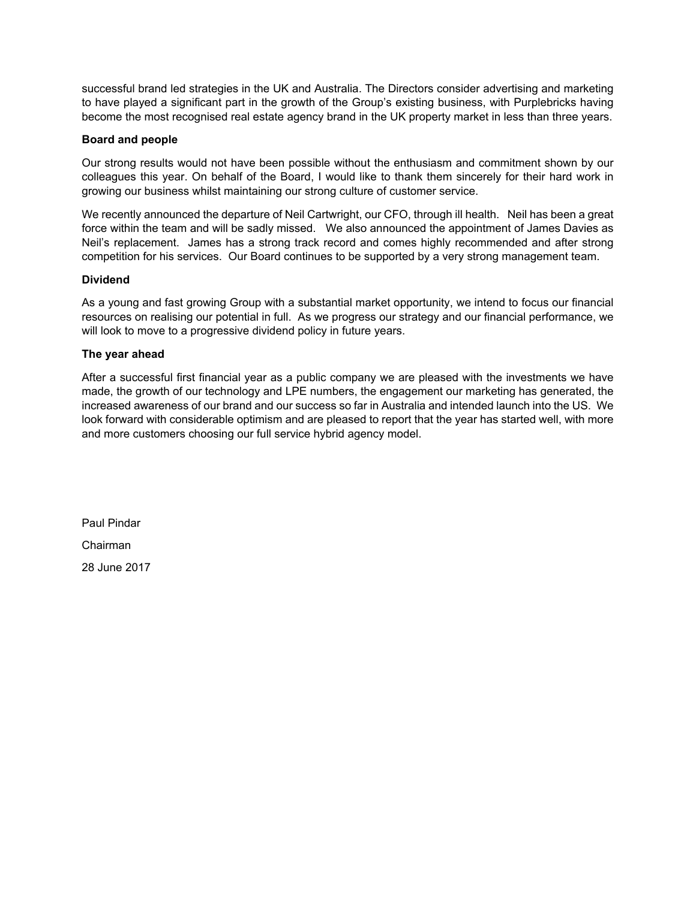successful brand led strategies in the UK and Australia. The Directors consider advertising and marketing to have played a significant part in the growth of the Group's existing business, with Purplebricks having become the most recognised real estate agency brand in the UK property market in less than three years.

## **Board and people**

Our strong results would not have been possible without the enthusiasm and commitment shown by our colleagues this year. On behalf of the Board, I would like to thank them sincerely for their hard work in growing our business whilst maintaining our strong culture of customer service.

We recently announced the departure of Neil Cartwright, our CFO, through ill health. Neil has been a great force within the team and will be sadly missed. We also announced the appointment of James Davies as Neil's replacement. James has a strong track record and comes highly recommended and after strong competition for his services. Our Board continues to be supported by a very strong management team.

### **Dividend**

As a young and fast growing Group with a substantial market opportunity, we intend to focus our financial resources on realising our potential in full. As we progress our strategy and our financial performance, we will look to move to a progressive dividend policy in future years.

## **The year ahead**

After a successful first financial year as a public company we are pleased with the investments we have made, the growth of our technology and LPE numbers, the engagement our marketing has generated, the increased awareness of our brand and our success so far in Australia and intended launch into the US. We look forward with considerable optimism and are pleased to report that the year has started well, with more and more customers choosing our full service hybrid agency model.

Paul Pindar Chairman 28 June 2017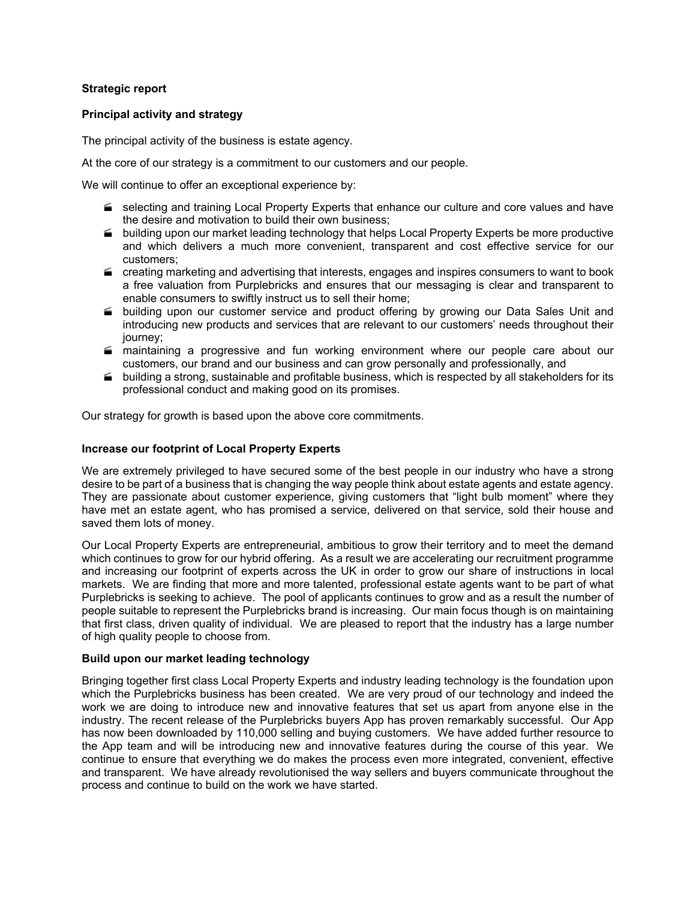### **Strategic report**

### **Principal activity and strategy**

The principal activity of the business is estate agency.

At the core of our strategy is a commitment to our customers and our people.

We will continue to offer an exceptional experience by:

- selecting and training Local Property Experts that enhance our culture and core values and have the desire and motivation to build their own business;
- **building upon our market leading technology that helps Local Property Experts be more productive** and which delivers a much more convenient, transparent and cost effective service for our customers;
- $\blacktriangleright$  creating marketing and advertising that interests, engages and inspires consumers to want to book a free valuation from Purplebricks and ensures that our messaging is clear and transparent to enable consumers to swiftly instruct us to sell their home;
- building upon our customer service and product offering by growing our Data Sales Unit and introducing new products and services that are relevant to our customers' needs throughout their journey;
- $\blacktriangle$  maintaining a progressive and fun working environment where our people care about our customers, our brand and our business and can grow personally and professionally, and
- **building a strong, sustainable and profitable business, which is respected by all stakeholders for its** professional conduct and making good on its promises.

Our strategy for growth is based upon the above core commitments.

## **Increase our footprint of Local Property Experts**

We are extremely privileged to have secured some of the best people in our industry who have a strong desire to be part of a business that is changing the way people think about estate agents and estate agency. They are passionate about customer experience, giving customers that "light bulb moment" where they have met an estate agent, who has promised a service, delivered on that service, sold their house and saved them lots of money.

Our Local Property Experts are entrepreneurial, ambitious to grow their territory and to meet the demand which continues to grow for our hybrid offering. As a result we are accelerating our recruitment programme and increasing our footprint of experts across the UK in order to grow our share of instructions in local markets. We are finding that more and more talented, professional estate agents want to be part of what Purplebricks is seeking to achieve. The pool of applicants continues to grow and as a result the number of people suitable to represent the Purplebricks brand is increasing. Our main focus though is on maintaining that first class, driven quality of individual. We are pleased to report that the industry has a large number of high quality people to choose from.

### **Build upon our market leading technology**

Bringing together first class Local Property Experts and industry leading technology is the foundation upon which the Purplebricks business has been created. We are very proud of our technology and indeed the work we are doing to introduce new and innovative features that set us apart from anyone else in the industry. The recent release of the Purplebricks buyers App has proven remarkably successful. Our App has now been downloaded by 110,000 selling and buying customers. We have added further resource to the App team and will be introducing new and innovative features during the course of this year. We continue to ensure that everything we do makes the process even more integrated, convenient, effective and transparent. We have already revolutionised the way sellers and buyers communicate throughout the process and continue to build on the work we have started.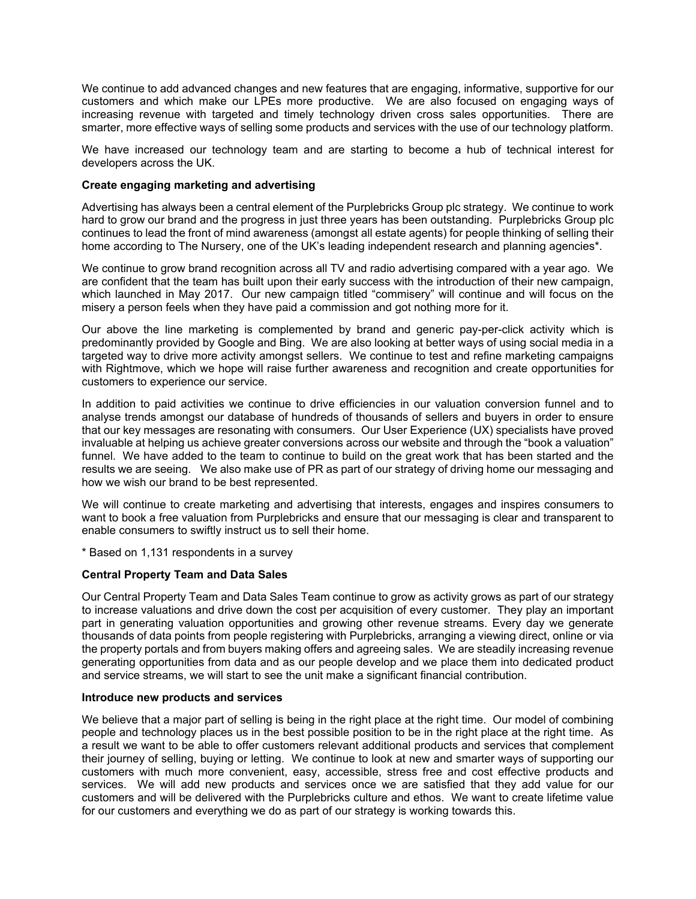We continue to add advanced changes and new features that are engaging, informative, supportive for our customers and which make our LPEs more productive. We are also focused on engaging ways of increasing revenue with targeted and timely technology driven cross sales opportunities. There are smarter, more effective ways of selling some products and services with the use of our technology platform.

We have increased our technology team and are starting to become a hub of technical interest for developers across the UK.

### **Create engaging marketing and advertising**

Advertising has always been a central element of the Purplebricks Group plc strategy. We continue to work hard to grow our brand and the progress in just three years has been outstanding. Purplebricks Group plc continues to lead the front of mind awareness (amongst all estate agents) for people thinking of selling their home according to The Nursery, one of the UK's leading independent research and planning agencies\*.

We continue to grow brand recognition across all TV and radio advertising compared with a year ago. We are confident that the team has built upon their early success with the introduction of their new campaign, which launched in May 2017. Our new campaign titled "commisery" will continue and will focus on the misery a person feels when they have paid a commission and got nothing more for it.

Our above the line marketing is complemented by brand and generic pay-per-click activity which is predominantly provided by Google and Bing. We are also looking at better ways of using social media in a targeted way to drive more activity amongst sellers. We continue to test and refine marketing campaigns with Rightmove, which we hope will raise further awareness and recognition and create opportunities for customers to experience our service.

In addition to paid activities we continue to drive efficiencies in our valuation conversion funnel and to analyse trends amongst our database of hundreds of thousands of sellers and buyers in order to ensure that our key messages are resonating with consumers. Our User Experience (UX) specialists have proved invaluable at helping us achieve greater conversions across our website and through the "book a valuation" funnel. We have added to the team to continue to build on the great work that has been started and the results we are seeing. We also make use of PR as part of our strategy of driving home our messaging and how we wish our brand to be best represented.

We will continue to create marketing and advertising that interests, engages and inspires consumers to want to book a free valuation from Purplebricks and ensure that our messaging is clear and transparent to enable consumers to swiftly instruct us to sell their home.

\* Based on 1,131 respondents in a survey

### **Central Property Team and Data Sales**

Our Central Property Team and Data Sales Team continue to grow as activity grows as part of our strategy to increase valuations and drive down the cost per acquisition of every customer. They play an important part in generating valuation opportunities and growing other revenue streams. Every day we generate thousands of data points from people registering with Purplebricks, arranging a viewing direct, online or via the property portals and from buyers making offers and agreeing sales. We are steadily increasing revenue generating opportunities from data and as our people develop and we place them into dedicated product and service streams, we will start to see the unit make a significant financial contribution.

#### **Introduce new products and services**

We believe that a major part of selling is being in the right place at the right time. Our model of combining people and technology places us in the best possible position to be in the right place at the right time. As a result we want to be able to offer customers relevant additional products and services that complement their journey of selling, buying or letting. We continue to look at new and smarter ways of supporting our customers with much more convenient, easy, accessible, stress free and cost effective products and services. We will add new products and services once we are satisfied that they add value for our customers and will be delivered with the Purplebricks culture and ethos. We want to create lifetime value for our customers and everything we do as part of our strategy is working towards this.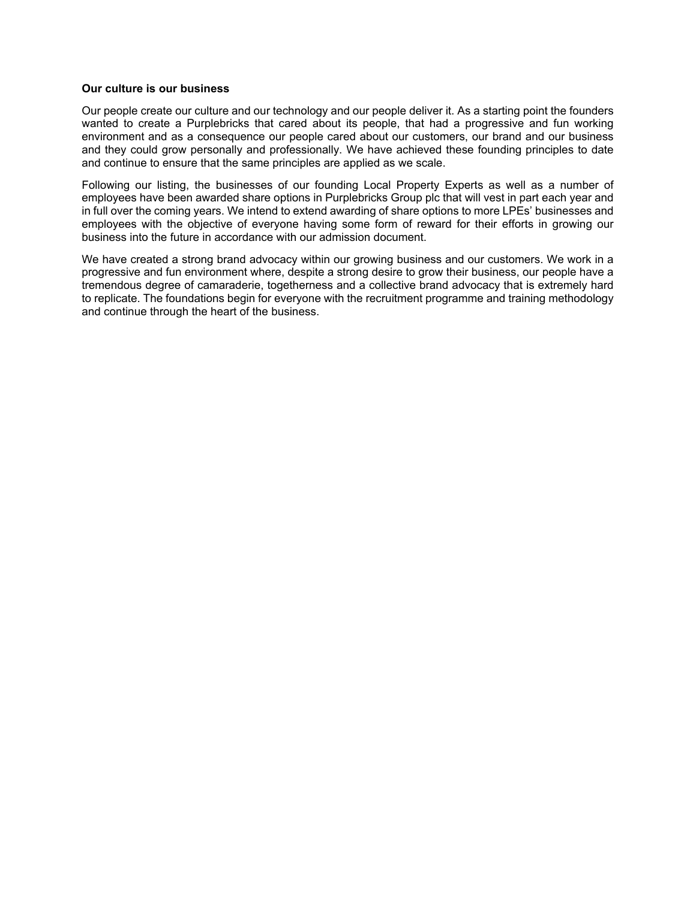### **Our culture is our business**

Our people create our culture and our technology and our people deliver it. As a starting point the founders wanted to create a Purplebricks that cared about its people, that had a progressive and fun working environment and as a consequence our people cared about our customers, our brand and our business and they could grow personally and professionally. We have achieved these founding principles to date and continue to ensure that the same principles are applied as we scale.

Following our listing, the businesses of our founding Local Property Experts as well as a number of employees have been awarded share options in Purplebricks Group plc that will vest in part each year and in full over the coming years. We intend to extend awarding of share options to more LPEs' businesses and employees with the objective of everyone having some form of reward for their efforts in growing our business into the future in accordance with our admission document.

We have created a strong brand advocacy within our growing business and our customers. We work in a progressive and fun environment where, despite a strong desire to grow their business, our people have a tremendous degree of camaraderie, togetherness and a collective brand advocacy that is extremely hard to replicate. The foundations begin for everyone with the recruitment programme and training methodology and continue through the heart of the business.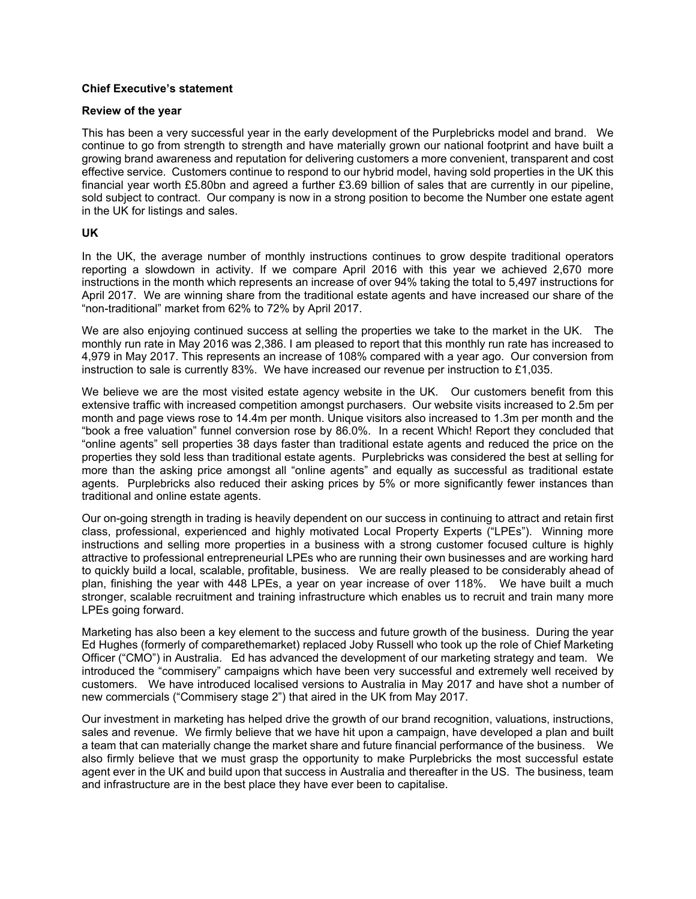### **Chief Executive's statement**

#### **Review of the year**

This has been a very successful year in the early development of the Purplebricks model and brand. We continue to go from strength to strength and have materially grown our national footprint and have built a growing brand awareness and reputation for delivering customers a more convenient, transparent and cost effective service. Customers continue to respond to our hybrid model, having sold properties in the UK this financial year worth £5.80bn and agreed a further £3.69 billion of sales that are currently in our pipeline, sold subject to contract. Our company is now in a strong position to become the Number one estate agent in the UK for listings and sales.

#### **UK**

In the UK, the average number of monthly instructions continues to grow despite traditional operators reporting a slowdown in activity. If we compare April 2016 with this year we achieved 2,670 more instructions in the month which represents an increase of over 94% taking the total to 5,497 instructions for April 2017. We are winning share from the traditional estate agents and have increased our share of the "non-traditional" market from 62% to 72% by April 2017.

We are also enjoying continued success at selling the properties we take to the market in the UK. The monthly run rate in May 2016 was 2,386. I am pleased to report that this monthly run rate has increased to 4,979 in May 2017. This represents an increase of 108% compared with a year ago. Our conversion from instruction to sale is currently 83%. We have increased our revenue per instruction to £1,035.

We believe we are the most visited estate agency website in the UK. Our customers benefit from this extensive traffic with increased competition amongst purchasers. Our website visits increased to 2.5m per month and page views rose to 14.4m per month. Unique visitors also increased to 1.3m per month and the "book a free valuation" funnel conversion rose by 86.0%. In a recent Which! Report they concluded that "online agents" sell properties 38 days faster than traditional estate agents and reduced the price on the properties they sold less than traditional estate agents. Purplebricks was considered the best at selling for more than the asking price amongst all "online agents" and equally as successful as traditional estate agents. Purplebricks also reduced their asking prices by 5% or more significantly fewer instances than traditional and online estate agents.

Our on-going strength in trading is heavily dependent on our success in continuing to attract and retain first class, professional, experienced and highly motivated Local Property Experts ("LPEs"). Winning more instructions and selling more properties in a business with a strong customer focused culture is highly attractive to professional entrepreneurial LPEs who are running their own businesses and are working hard to quickly build a local, scalable, profitable, business. We are really pleased to be considerably ahead of plan, finishing the year with 448 LPEs, a year on year increase of over 118%. We have built a much stronger, scalable recruitment and training infrastructure which enables us to recruit and train many more LPEs going forward.

Marketing has also been a key element to the success and future growth of the business. During the year Ed Hughes (formerly of comparethemarket) replaced Joby Russell who took up the role of Chief Marketing Officer ("CMO") in Australia. Ed has advanced the development of our marketing strategy and team. We introduced the "commisery" campaigns which have been very successful and extremely well received by customers. We have introduced localised versions to Australia in May 2017 and have shot a number of new commercials ("Commisery stage 2") that aired in the UK from May 2017.

Our investment in marketing has helped drive the growth of our brand recognition, valuations, instructions, sales and revenue. We firmly believe that we have hit upon a campaign, have developed a plan and built a team that can materially change the market share and future financial performance of the business. We also firmly believe that we must grasp the opportunity to make Purplebricks the most successful estate agent ever in the UK and build upon that success in Australia and thereafter in the US. The business, team and infrastructure are in the best place they have ever been to capitalise.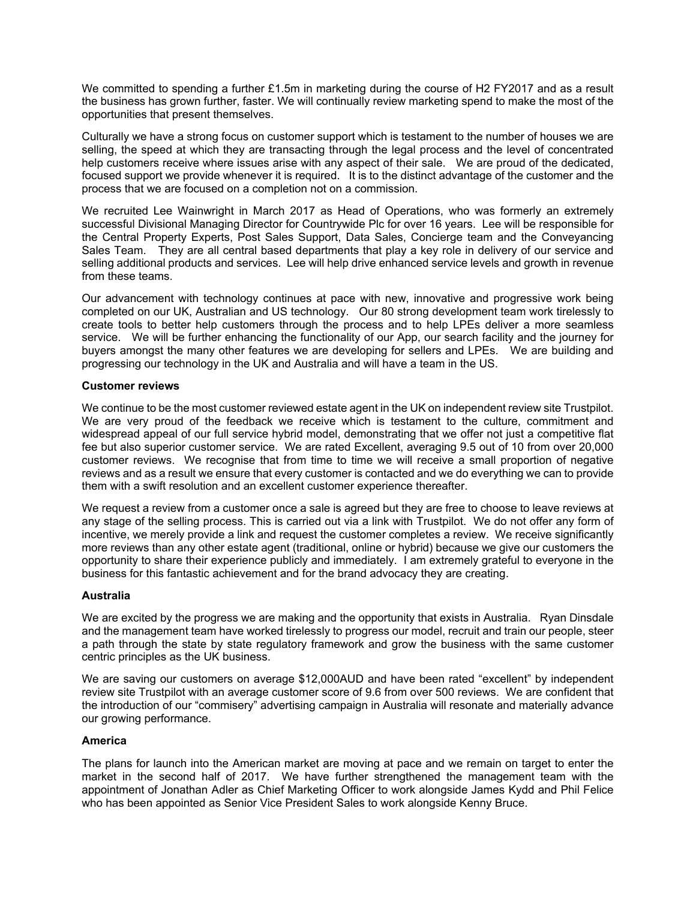We committed to spending a further £1.5m in marketing during the course of H2 FY2017 and as a result the business has grown further, faster. We will continually review marketing spend to make the most of the opportunities that present themselves.

Culturally we have a strong focus on customer support which is testament to the number of houses we are selling, the speed at which they are transacting through the legal process and the level of concentrated help customers receive where issues arise with any aspect of their sale. We are proud of the dedicated, focused support we provide whenever it is required. It is to the distinct advantage of the customer and the process that we are focused on a completion not on a commission.

We recruited Lee Wainwright in March 2017 as Head of Operations, who was formerly an extremely successful Divisional Managing Director for Countrywide Plc for over 16 years. Lee will be responsible for the Central Property Experts, Post Sales Support, Data Sales, Concierge team and the Conveyancing Sales Team. They are all central based departments that play a key role in delivery of our service and selling additional products and services. Lee will help drive enhanced service levels and growth in revenue from these teams.

Our advancement with technology continues at pace with new, innovative and progressive work being completed on our UK, Australian and US technology. Our 80 strong development team work tirelessly to create tools to better help customers through the process and to help LPEs deliver a more seamless service. We will be further enhancing the functionality of our App, our search facility and the journey for buyers amongst the many other features we are developing for sellers and LPEs. We are building and progressing our technology in the UK and Australia and will have a team in the US.

### **Customer reviews**

We continue to be the most customer reviewed estate agent in the UK on independent review site Trustpilot. We are very proud of the feedback we receive which is testament to the culture, commitment and widespread appeal of our full service hybrid model, demonstrating that we offer not just a competitive flat fee but also superior customer service. We are rated Excellent, averaging 9.5 out of 10 from over 20,000 customer reviews. We recognise that from time to time we will receive a small proportion of negative reviews and as a result we ensure that every customer is contacted and we do everything we can to provide them with a swift resolution and an excellent customer experience thereafter.

We request a review from a customer once a sale is agreed but they are free to choose to leave reviews at any stage of the selling process. This is carried out via a link with Trustpilot. We do not offer any form of incentive, we merely provide a link and request the customer completes a review. We receive significantly more reviews than any other estate agent (traditional, online or hybrid) because we give our customers the opportunity to share their experience publicly and immediately. I am extremely grateful to everyone in the business for this fantastic achievement and for the brand advocacy they are creating.

### **Australia**

We are excited by the progress we are making and the opportunity that exists in Australia. Ryan Dinsdale and the management team have worked tirelessly to progress our model, recruit and train our people, steer a path through the state by state regulatory framework and grow the business with the same customer centric principles as the UK business.

We are saving our customers on average \$12,000AUD and have been rated "excellent" by independent review site Trustpilot with an average customer score of 9.6 from over 500 reviews. We are confident that the introduction of our "commisery" advertising campaign in Australia will resonate and materially advance our growing performance.

#### **America**

The plans for launch into the American market are moving at pace and we remain on target to enter the market in the second half of 2017. We have further strengthened the management team with the appointment of Jonathan Adler as Chief Marketing Officer to work alongside James Kydd and Phil Felice who has been appointed as Senior Vice President Sales to work alongside Kenny Bruce.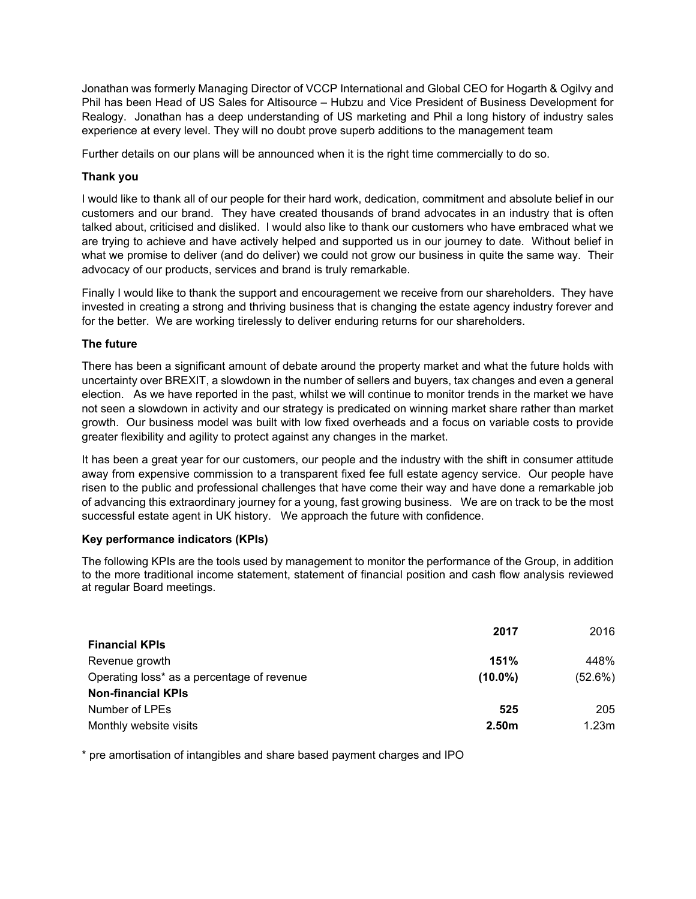Jonathan was formerly Managing Director of VCCP International and Global CEO for Hogarth & Ogilvy and Phil has been Head of US Sales for Altisource – Hubzu and Vice President of Business Development for Realogy. Jonathan has a deep understanding of US marketing and Phil a long history of industry sales experience at every level. They will no doubt prove superb additions to the management team

Further details on our plans will be announced when it is the right time commercially to do so.

## **Thank you**

I would like to thank all of our people for their hard work, dedication, commitment and absolute belief in our customers and our brand. They have created thousands of brand advocates in an industry that is often talked about, criticised and disliked. I would also like to thank our customers who have embraced what we are trying to achieve and have actively helped and supported us in our journey to date. Without belief in what we promise to deliver (and do deliver) we could not grow our business in quite the same way. Their advocacy of our products, services and brand is truly remarkable.

Finally I would like to thank the support and encouragement we receive from our shareholders. They have invested in creating a strong and thriving business that is changing the estate agency industry forever and for the better. We are working tirelessly to deliver enduring returns for our shareholders.

## **The future**

There has been a significant amount of debate around the property market and what the future holds with uncertainty over BREXIT, a slowdown in the number of sellers and buyers, tax changes and even a general election. As we have reported in the past, whilst we will continue to monitor trends in the market we have not seen a slowdown in activity and our strategy is predicated on winning market share rather than market growth. Our business model was built with low fixed overheads and a focus on variable costs to provide greater flexibility and agility to protect against any changes in the market.

It has been a great year for our customers, our people and the industry with the shift in consumer attitude away from expensive commission to a transparent fixed fee full estate agency service. Our people have risen to the public and professional challenges that have come their way and have done a remarkable job of advancing this extraordinary journey for a young, fast growing business. We are on track to be the most successful estate agent in UK history. We approach the future with confidence.

### **Key performance indicators (KPIs)**

The following KPIs are the tools used by management to monitor the performance of the Group, in addition to the more traditional income statement, statement of financial position and cash flow analysis reviewed at regular Board meetings.

|                                            | 2017              | 2016    |
|--------------------------------------------|-------------------|---------|
| <b>Financial KPIs</b>                      |                   |         |
| Revenue growth                             | 151%              | 448%    |
| Operating loss* as a percentage of revenue | $(10.0\%)$        | (52.6%) |
| <b>Non-financial KPIs</b>                  |                   |         |
| Number of LPEs                             | 525               | 205     |
| Monthly website visits                     | 2.50 <sub>m</sub> | 1.23m   |

\* pre amortisation of intangibles and share based payment charges and IPO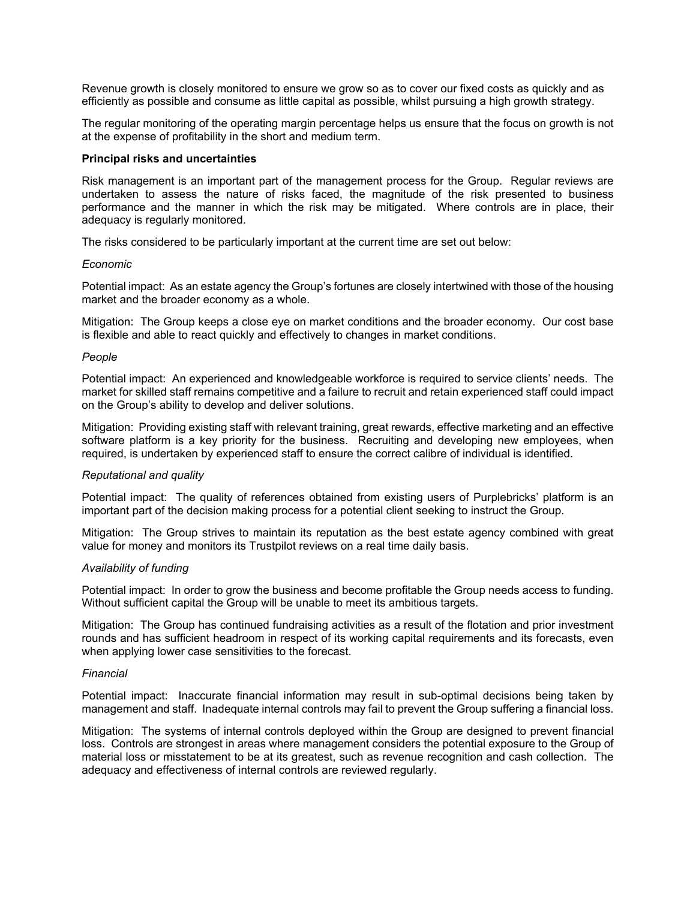Revenue growth is closely monitored to ensure we grow so as to cover our fixed costs as quickly and as efficiently as possible and consume as little capital as possible, whilst pursuing a high growth strategy.

The regular monitoring of the operating margin percentage helps us ensure that the focus on growth is not at the expense of profitability in the short and medium term.

#### **Principal risks and uncertainties**

Risk management is an important part of the management process for the Group. Regular reviews are undertaken to assess the nature of risks faced, the magnitude of the risk presented to business performance and the manner in which the risk may be mitigated. Where controls are in place, their adequacy is regularly monitored.

The risks considered to be particularly important at the current time are set out below:

#### *Economic*

Potential impact: As an estate agency the Group's fortunes are closely intertwined with those of the housing market and the broader economy as a whole.

Mitigation: The Group keeps a close eye on market conditions and the broader economy. Our cost base is flexible and able to react quickly and effectively to changes in market conditions.

#### *People*

Potential impact: An experienced and knowledgeable workforce is required to service clients' needs. The market for skilled staff remains competitive and a failure to recruit and retain experienced staff could impact on the Group's ability to develop and deliver solutions.

Mitigation: Providing existing staff with relevant training, great rewards, effective marketing and an effective software platform is a key priority for the business. Recruiting and developing new employees, when required, is undertaken by experienced staff to ensure the correct calibre of individual is identified.

#### *Reputational and quality*

Potential impact: The quality of references obtained from existing users of Purplebricks' platform is an important part of the decision making process for a potential client seeking to instruct the Group.

Mitigation: The Group strives to maintain its reputation as the best estate agency combined with great value for money and monitors its Trustpilot reviews on a real time daily basis.

#### *Availability of funding*

Potential impact: In order to grow the business and become profitable the Group needs access to funding. Without sufficient capital the Group will be unable to meet its ambitious targets.

Mitigation: The Group has continued fundraising activities as a result of the flotation and prior investment rounds and has sufficient headroom in respect of its working capital requirements and its forecasts, even when applying lower case sensitivities to the forecast.

#### *Financial*

Potential impact: Inaccurate financial information may result in sub-optimal decisions being taken by management and staff. Inadequate internal controls may fail to prevent the Group suffering a financial loss.

Mitigation: The systems of internal controls deployed within the Group are designed to prevent financial loss. Controls are strongest in areas where management considers the potential exposure to the Group of material loss or misstatement to be at its greatest, such as revenue recognition and cash collection. The adequacy and effectiveness of internal controls are reviewed regularly.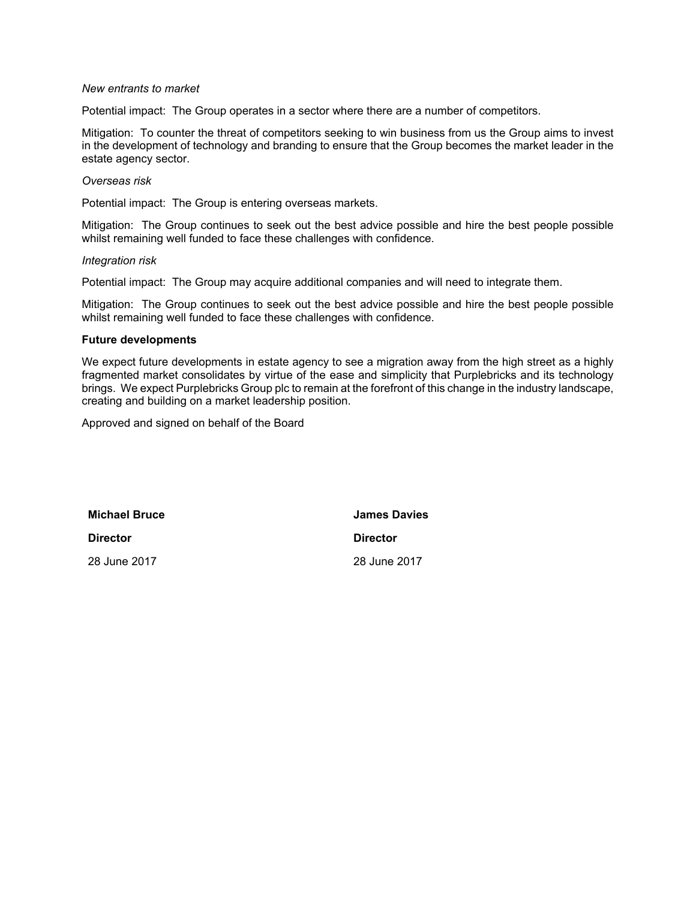#### *New entrants to market*

Potential impact: The Group operates in a sector where there are a number of competitors.

Mitigation: To counter the threat of competitors seeking to win business from us the Group aims to invest in the development of technology and branding to ensure that the Group becomes the market leader in the estate agency sector.

#### *Overseas risk*

Potential impact: The Group is entering overseas markets.

Mitigation: The Group continues to seek out the best advice possible and hire the best people possible whilst remaining well funded to face these challenges with confidence.

*Integration risk*

Potential impact: The Group may acquire additional companies and will need to integrate them.

Mitigation: The Group continues to seek out the best advice possible and hire the best people possible whilst remaining well funded to face these challenges with confidence.

#### **Future developments**

We expect future developments in estate agency to see a migration away from the high street as a highly fragmented market consolidates by virtue of the ease and simplicity that Purplebricks and its technology brings. We expect Purplebricks Group plc to remain at the forefront of this change in the industry landscape, creating and building on a market leadership position.

Approved and signed on behalf of the Board

**Michael Bruce James Davies**

**Director Director**

28 June 2017 28 June 2017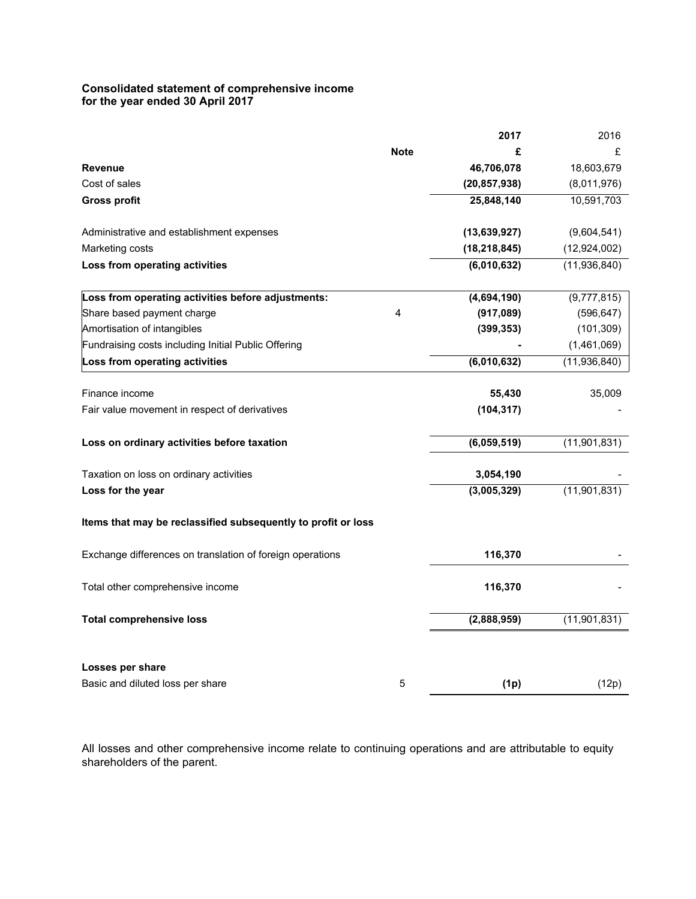#### **Consolidated statement of comprehensive income for the year ended 30 April 2017**

|                                                               |             | 2017           | 2016           |
|---------------------------------------------------------------|-------------|----------------|----------------|
|                                                               | <b>Note</b> | £              | £              |
| <b>Revenue</b>                                                |             | 46,706,078     | 18,603,679     |
| Cost of sales                                                 |             | (20, 857, 938) | (8,011,976)    |
| <b>Gross profit</b>                                           |             | 25,848,140     | 10,591,703     |
| Administrative and establishment expenses                     |             | (13,639,927)   | (9,604,541)    |
| Marketing costs                                               |             | (18, 218, 845) | (12, 924, 002) |
| Loss from operating activities                                |             | (6,010,632)    | (11,936,840)   |
| Loss from operating activities before adjustments:            |             | (4,694,190)    | (9,777,815)    |
| Share based payment charge                                    | 4           | (917, 089)     | (596, 647)     |
| Amortisation of intangibles                                   |             | (399, 353)     | (101, 309)     |
| Fundraising costs including Initial Public Offering           |             |                | (1,461,069)    |
| Loss from operating activities                                |             | (6,010,632)    | (11,936,840)   |
| Finance income                                                |             | 55,430         | 35,009         |
| Fair value movement in respect of derivatives                 |             | (104, 317)     |                |
| Loss on ordinary activities before taxation                   |             | (6,059,519)    | (11,901,831)   |
| Taxation on loss on ordinary activities                       |             | 3,054,190      |                |
| Loss for the year                                             |             | (3,005,329)    | (11,901,831)   |
| Items that may be reclassified subsequently to profit or loss |             |                |                |
| Exchange differences on translation of foreign operations     |             | 116,370        |                |
| Total other comprehensive income                              |             | 116,370        |                |
| <b>Total comprehensive loss</b>                               |             | (2,888,959)    | (11, 901, 831) |
| Losses per share                                              |             |                |                |
| Basic and diluted loss per share                              | 5           | (1p)           | (12p)          |
|                                                               |             |                |                |

All losses and other comprehensive income relate to continuing operations and are attributable to equity shareholders of the parent.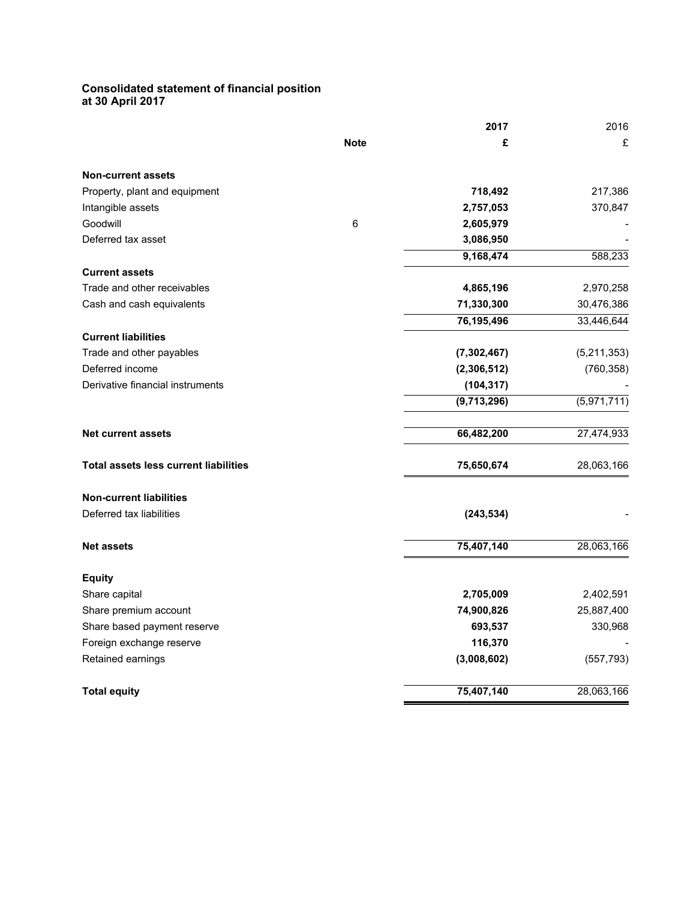#### **Consolidated statement of financial position at 30 April 2017**

|                                              |             | 2017          | 2016        |
|----------------------------------------------|-------------|---------------|-------------|
|                                              | <b>Note</b> | £             | £           |
| <b>Non-current assets</b>                    |             |               |             |
| Property, plant and equipment                |             | 718,492       | 217,386     |
| Intangible assets                            |             | 2,757,053     | 370,847     |
| Goodwill                                     | $\,6\,$     | 2,605,979     |             |
| Deferred tax asset                           |             | 3,086,950     |             |
|                                              |             | 9,168,474     | 588,233     |
| <b>Current assets</b>                        |             |               |             |
| Trade and other receivables                  |             | 4,865,196     | 2,970,258   |
| Cash and cash equivalents                    |             | 71,330,300    | 30,476,386  |
|                                              |             | 76,195,496    | 33,446,644  |
| <b>Current liabilities</b>                   |             |               |             |
| Trade and other payables                     |             | (7, 302, 467) | (5,211,353) |
| Deferred income                              |             | (2,306,512)   | (760, 358)  |
| Derivative financial instruments             |             | (104, 317)    |             |
|                                              |             | (9,713,296)   | (5,971,711) |
| <b>Net current assets</b>                    |             | 66,482,200    | 27,474,933  |
| <b>Total assets less current liabilities</b> |             | 75,650,674    | 28,063,166  |
| <b>Non-current liabilities</b>               |             |               |             |
| Deferred tax liabilities                     |             | (243, 534)    |             |
| <b>Net assets</b>                            |             | 75,407,140    | 28,063,166  |
| <b>Equity</b>                                |             |               |             |
| Share capital                                |             | 2,705,009     | 2,402,591   |
| Share premium account                        |             | 74,900,826    | 25,887,400  |
| Share based payment reserve                  |             | 693,537       | 330,968     |
| Foreign exchange reserve                     |             | 116,370       |             |
| Retained earnings                            |             | (3,008,602)   | (557, 793)  |
| <b>Total equity</b>                          |             | 75,407,140    | 28,063,166  |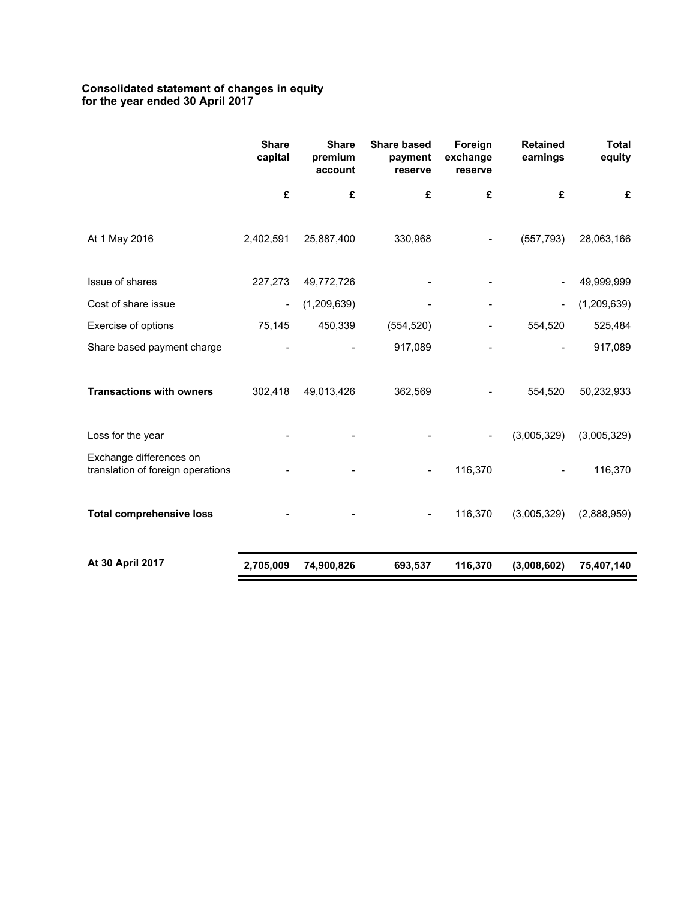### **Consolidated statement of changes in equity for the year ended 30 April 2017**

|                                                              | <b>Share</b><br>capital  | <b>Share</b><br>premium<br>account | <b>Share based</b><br>payment<br>reserve | Foreign<br>exchange<br>reserve | <b>Retained</b><br>earnings | <b>Total</b><br>equity |
|--------------------------------------------------------------|--------------------------|------------------------------------|------------------------------------------|--------------------------------|-----------------------------|------------------------|
|                                                              | £                        | £                                  | £                                        | £                              | £                           | £                      |
| At 1 May 2016                                                | 2,402,591                | 25,887,400                         | 330,968                                  |                                | (557, 793)                  | 28,063,166             |
| Issue of shares                                              | 227,273                  | 49,772,726                         |                                          |                                |                             | 49,999,999             |
| Cost of share issue                                          | $\overline{\phantom{a}}$ | (1,209,639)                        |                                          |                                | $\overline{\phantom{a}}$    | (1,209,639)            |
| Exercise of options                                          | 75,145                   | 450,339                            | (554, 520)                               |                                | 554,520                     | 525,484                |
| Share based payment charge                                   |                          |                                    | 917,089                                  |                                |                             | 917,089                |
|                                                              |                          |                                    |                                          |                                |                             |                        |
| <b>Transactions with owners</b>                              | 302,418                  | 49,013,426                         | 362,569                                  |                                | 554,520                     | 50,232,933             |
| Loss for the year                                            |                          |                                    |                                          |                                | (3,005,329)                 | (3,005,329)            |
| Exchange differences on<br>translation of foreign operations |                          |                                    |                                          | 116,370                        |                             | 116,370                |
| <b>Total comprehensive loss</b>                              | $\overline{\phantom{a}}$ | $\overline{\phantom{a}}$           | $\qquad \qquad \blacksquare$             | 116,370                        | (3,005,329)                 | (2,888,959)            |
| At 30 April 2017                                             | 2,705,009                | 74,900,826                         | 693,537                                  | 116,370                        | (3,008,602)                 | 75,407,140             |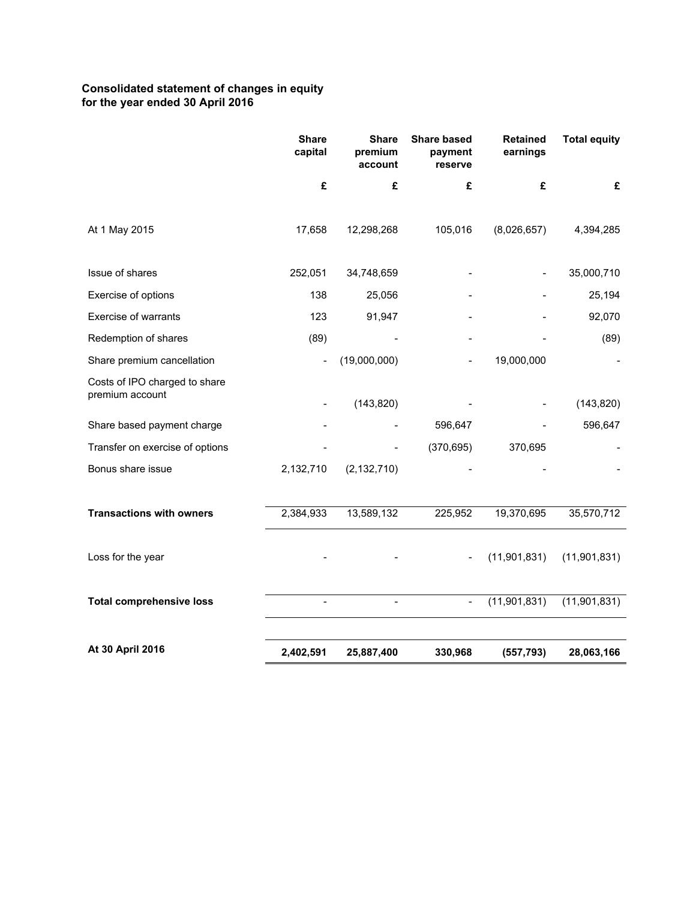## **Consolidated statement of changes in equity for the year ended 30 April 2016**

|                                                  | <b>Share</b><br>capital  | <b>Share</b><br>premium<br>account | <b>Share based</b><br>payment<br>reserve | <b>Retained</b><br>earnings | <b>Total equity</b> |
|--------------------------------------------------|--------------------------|------------------------------------|------------------------------------------|-----------------------------|---------------------|
|                                                  | £                        | £                                  | £                                        | £                           | £                   |
| At 1 May 2015                                    | 17,658                   | 12,298,268                         | 105,016                                  | (8,026,657)                 | 4,394,285           |
| Issue of shares                                  | 252,051                  | 34,748,659                         |                                          |                             | 35,000,710          |
| Exercise of options                              | 138                      | 25,056                             |                                          |                             | 25,194              |
| Exercise of warrants                             | 123                      | 91,947                             |                                          |                             | 92,070              |
| Redemption of shares                             | (89)                     |                                    |                                          |                             | (89)                |
| Share premium cancellation                       | $\overline{\phantom{a}}$ | (19,000,000)                       |                                          | 19,000,000                  |                     |
| Costs of IPO charged to share<br>premium account |                          | (143, 820)                         |                                          |                             | (143, 820)          |
| Share based payment charge                       |                          |                                    | 596,647                                  |                             | 596,647             |
| Transfer on exercise of options                  |                          |                                    | (370, 695)                               | 370,695                     |                     |
| Bonus share issue                                | 2,132,710                | (2, 132, 710)                      |                                          |                             |                     |
|                                                  |                          |                                    |                                          |                             |                     |
| <b>Transactions with owners</b>                  | 2,384,933                | 13,589,132                         | 225,952                                  | 19,370,695                  | 35,570,712          |
| Loss for the year                                |                          |                                    |                                          | (11,901,831)                | (11, 901, 831)      |
| <b>Total comprehensive loss</b>                  | $\overline{\phantom{a}}$ |                                    | $\frac{1}{2}$                            | (11,901,831)                | (11,901,831)        |
|                                                  |                          |                                    |                                          |                             |                     |
| At 30 April 2016                                 | 2,402,591                | 25,887,400                         | 330,968                                  | (557, 793)                  | 28,063,166          |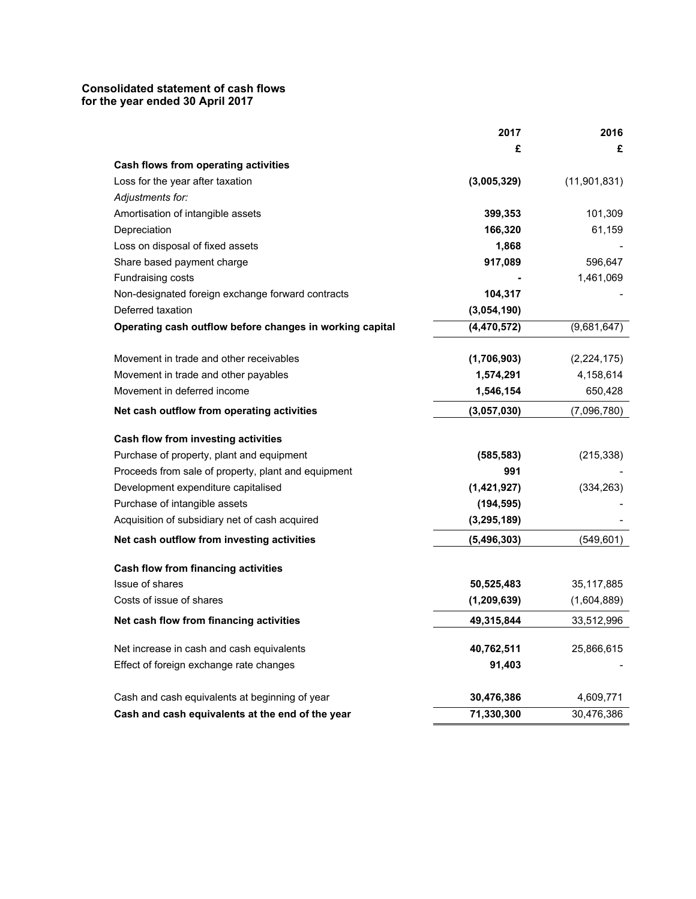## **Consolidated statement of cash flows for the year ended 30 April 2017**

|                                                          | 2017          | 2016           |
|----------------------------------------------------------|---------------|----------------|
|                                                          | £             | £              |
| <b>Cash flows from operating activities</b>              |               |                |
| Loss for the year after taxation                         | (3,005,329)   | (11, 901, 831) |
| Adjustments for:                                         |               |                |
| Amortisation of intangible assets                        | 399,353       | 101,309        |
| Depreciation                                             | 166,320       | 61,159         |
| Loss on disposal of fixed assets                         | 1,868         |                |
| Share based payment charge                               | 917,089       | 596,647        |
| Fundraising costs                                        |               | 1,461,069      |
| Non-designated foreign exchange forward contracts        | 104,317       |                |
| Deferred taxation                                        | (3,054,190)   |                |
| Operating cash outflow before changes in working capital | (4, 470, 572) | (9,681,647)    |
| Movement in trade and other receivables                  | (1,706,903)   | (2,224,175)    |
| Movement in trade and other payables                     | 1,574,291     | 4,158,614      |
| Movement in deferred income                              | 1,546,154     | 650,428        |
| Net cash outflow from operating activities               | (3,057,030)   | (7,096,780)    |
| <b>Cash flow from investing activities</b>               |               |                |
| Purchase of property, plant and equipment                | (585, 583)    | (215, 338)     |
| Proceeds from sale of property, plant and equipment      | 991           |                |
| Development expenditure capitalised                      | (1,421,927)   | (334, 263)     |
| Purchase of intangible assets                            | (194, 595)    |                |
| Acquisition of subsidiary net of cash acquired           | (3, 295, 189) |                |
| Net cash outflow from investing activities               | (5, 496, 303) | (549, 601)     |
| <b>Cash flow from financing activities</b>               |               |                |
| Issue of shares                                          | 50,525,483    | 35,117,885     |
| Costs of issue of shares                                 | (1, 209, 639) | (1,604,889)    |
| Net cash flow from financing activities                  | 49,315,844    | 33,512,996     |
| Net increase in cash and cash equivalents                | 40,762,511    | 25,866,615     |
| Effect of foreign exchange rate changes                  | 91,403        |                |
| Cash and cash equivalents at beginning of year           | 30,476,386    | 4,609,771      |
| Cash and cash equivalents at the end of the year         | 71,330,300    | 30,476,386     |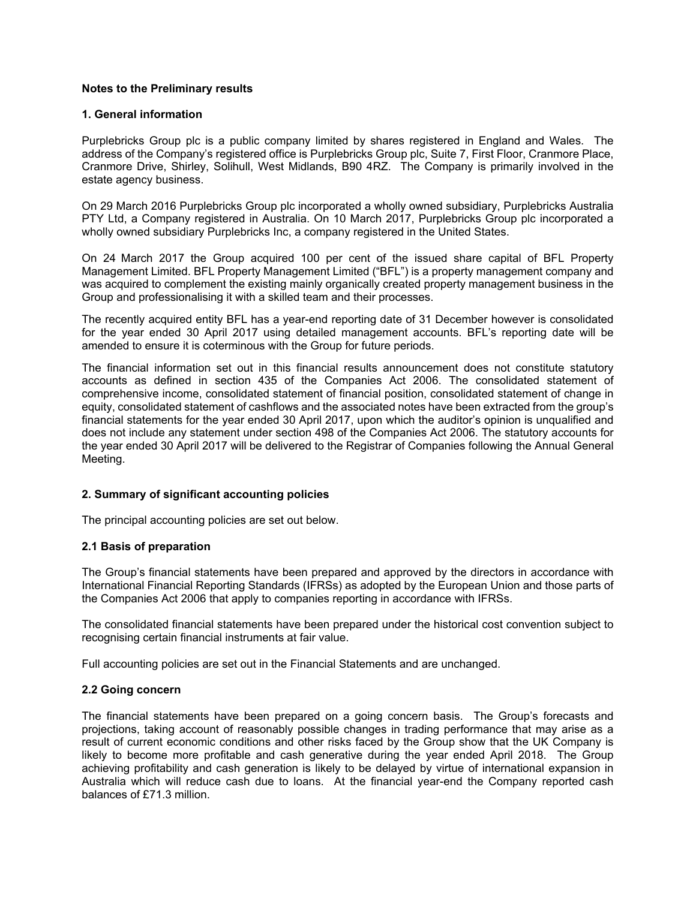### **Notes to the Preliminary results**

### **1. General information**

Purplebricks Group plc is a public company limited by shares registered in England and Wales. The address of the Company's registered office is Purplebricks Group plc, Suite 7, First Floor, Cranmore Place, Cranmore Drive, Shirley, Solihull, West Midlands, B90 4RZ. The Company is primarily involved in the estate agency business.

On 29 March 2016 Purplebricks Group plc incorporated a wholly owned subsidiary, Purplebricks Australia PTY Ltd, a Company registered in Australia. On 10 March 2017, Purplebricks Group plc incorporated a wholly owned subsidiary Purplebricks Inc, a company registered in the United States.

On 24 March 2017 the Group acquired 100 per cent of the issued share capital of BFL Property Management Limited. BFL Property Management Limited ("BFL") is a property management company and was acquired to complement the existing mainly organically created property management business in the Group and professionalising it with a skilled team and their processes.

The recently acquired entity BFL has a year-end reporting date of 31 December however is consolidated for the year ended 30 April 2017 using detailed management accounts. BFL's reporting date will be amended to ensure it is coterminous with the Group for future periods.

The financial information set out in this financial results announcement does not constitute statutory accounts as defined in section 435 of the Companies Act 2006. The consolidated statement of comprehensive income, consolidated statement of financial position, consolidated statement of change in equity, consolidated statement of cashflows and the associated notes have been extracted from the group's financial statements for the year ended 30 April 2017, upon which the auditor's opinion is unqualified and does not include any statement under section 498 of the Companies Act 2006. The statutory accounts for the year ended 30 April 2017 will be delivered to the Registrar of Companies following the Annual General Meeting.

## **2. Summary of significant accounting policies**

The principal accounting policies are set out below.

## **2.1 Basis of preparation**

The Group's financial statements have been prepared and approved by the directors in accordance with International Financial Reporting Standards (IFRSs) as adopted by the European Union and those parts of the Companies Act 2006 that apply to companies reporting in accordance with IFRSs.

The consolidated financial statements have been prepared under the historical cost convention subject to recognising certain financial instruments at fair value.

Full accounting policies are set out in the Financial Statements and are unchanged.

## **2.2 Going concern**

The financial statements have been prepared on a going concern basis. The Group's forecasts and projections, taking account of reasonably possible changes in trading performance that may arise as a result of current economic conditions and other risks faced by the Group show that the UK Company is likely to become more profitable and cash generative during the year ended April 2018. The Group achieving profitability and cash generation is likely to be delayed by virtue of international expansion in Australia which will reduce cash due to loans. At the financial year-end the Company reported cash balances of £71.3 million.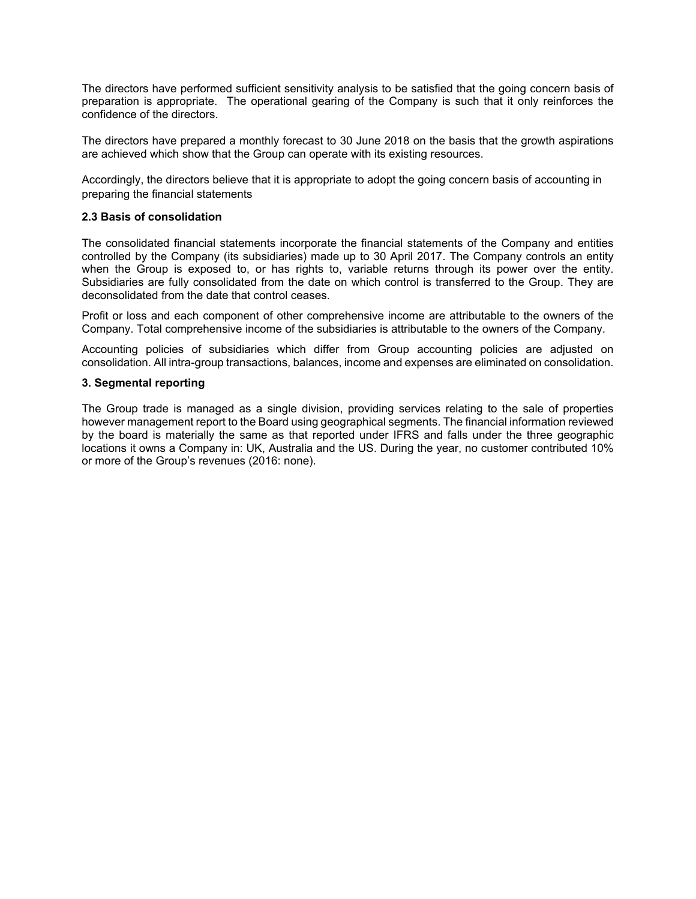The directors have performed sufficient sensitivity analysis to be satisfied that the going concern basis of preparation is appropriate. The operational gearing of the Company is such that it only reinforces the confidence of the directors.

The directors have prepared a monthly forecast to 30 June 2018 on the basis that the growth aspirations are achieved which show that the Group can operate with its existing resources.

Accordingly, the directors believe that it is appropriate to adopt the going concern basis of accounting in preparing the financial statements

#### **2.3 Basis of consolidation**

The consolidated financial statements incorporate the financial statements of the Company and entities controlled by the Company (its subsidiaries) made up to 30 April 2017. The Company controls an entity when the Group is exposed to, or has rights to, variable returns through its power over the entity. Subsidiaries are fully consolidated from the date on which control is transferred to the Group. They are deconsolidated from the date that control ceases.

Profit or loss and each component of other comprehensive income are attributable to the owners of the Company. Total comprehensive income of the subsidiaries is attributable to the owners of the Company.

Accounting policies of subsidiaries which differ from Group accounting policies are adjusted on consolidation. All intra-group transactions, balances, income and expenses are eliminated on consolidation.

#### **3. Segmental reporting**

The Group trade is managed as a single division, providing services relating to the sale of properties however management report to the Board using geographical segments. The financial information reviewed by the board is materially the same as that reported under IFRS and falls under the three geographic locations it owns a Company in: UK, Australia and the US. During the year, no customer contributed 10% or more of the Group's revenues (2016: none).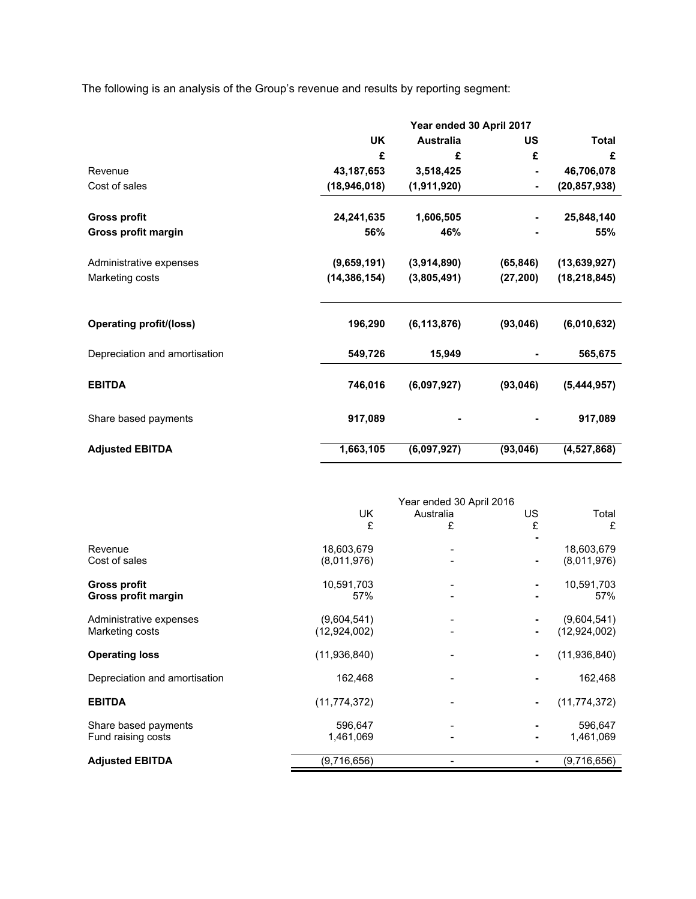The following is an analysis of the Group's revenue and results by reporting segment:

|                                | Year ended 30 April 2017 |                  |           |                |  |
|--------------------------------|--------------------------|------------------|-----------|----------------|--|
|                                | <b>UK</b>                | <b>Australia</b> | US        | <b>Total</b>   |  |
|                                | £                        | £                | £         | £              |  |
| Revenue                        | 43, 187, 653             | 3,518,425        |           | 46,706,078     |  |
| Cost of sales                  | (18, 946, 018)           | (1,911,920)      |           | (20, 857, 938) |  |
| <b>Gross profit</b>            | 24,241,635               | 1,606,505        |           | 25,848,140     |  |
| Gross profit margin            | 56%                      | 46%              |           | 55%            |  |
| Administrative expenses        | (9,659,191)              | (3,914,890)      | (65, 846) | (13,639,927)   |  |
| Marketing costs                | (14, 386, 154)           | (3,805,491)      | (27, 200) | (18, 218, 845) |  |
|                                |                          |                  |           |                |  |
| <b>Operating profit/(loss)</b> | 196,290                  | (6, 113, 876)    | (93, 046) | (6,010,632)    |  |
| Depreciation and amortisation  | 549,726                  | 15,949           |           | 565,675        |  |
| <b>EBITDA</b>                  | 746,016                  | (6,097,927)      | (93,046)  | (5,444,957)    |  |
| Share based payments           | 917,089                  |                  |           | 917,089        |  |
| <b>Adjusted EBITDA</b>         | 1,663,105                | (6,097,927)      | (93, 046) | (4,527,868)    |  |

|                               | Year ended 30 April 2016 |           |    |                |  |
|-------------------------------|--------------------------|-----------|----|----------------|--|
|                               | UK                       | Australia | US | Total          |  |
|                               | £                        | £         | £  | £              |  |
|                               |                          |           |    |                |  |
| Revenue                       | 18,603,679               |           |    | 18,603,679     |  |
| Cost of sales                 | (8,011,976)              |           |    | (8,011,976)    |  |
| Gross profit                  | 10,591,703               |           |    | 10,591,703     |  |
| Gross profit margin           | 57%                      |           |    | 57%            |  |
| Administrative expenses       | (9,604,541)              |           |    | (9,604,541)    |  |
| Marketing costs               | (12,924,002)             |           |    | (12,924,002)   |  |
| <b>Operating loss</b>         | (11,936,840)             |           |    | (11,936,840)   |  |
| Depreciation and amortisation | 162,468                  |           |    | 162,468        |  |
| <b>EBITDA</b>                 | (11, 774, 372)           |           |    | (11, 774, 372) |  |
| Share based payments          | 596,647                  |           |    | 596,647        |  |
| Fund raising costs            | 1,461,069                |           |    | 1,461,069      |  |
| <b>Adjusted EBITDA</b>        | (9,716,656)              |           |    | (9,716,656)    |  |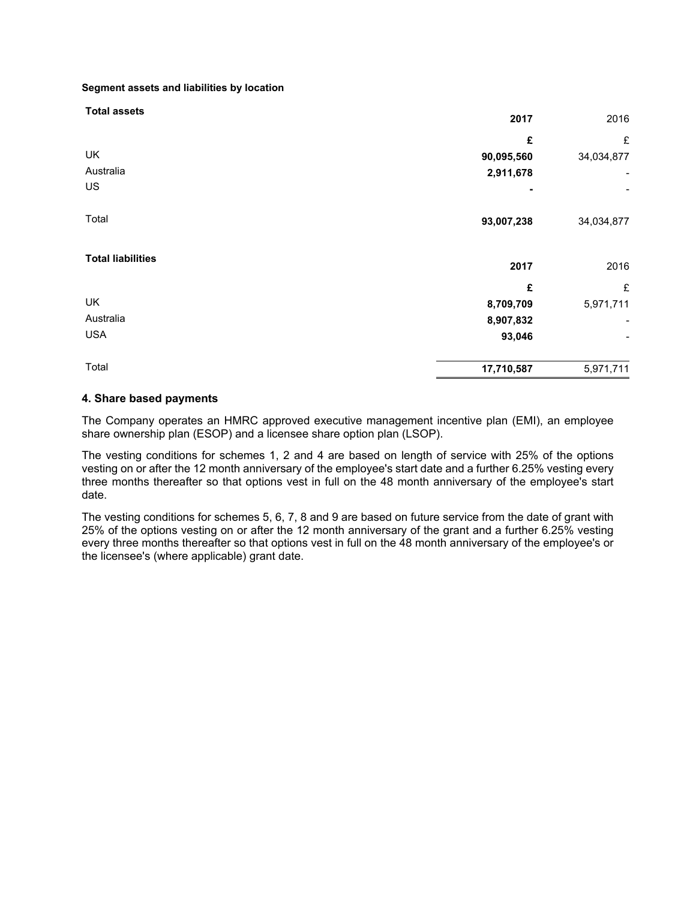**Segment assets and liabilities by location**

| <b>Total assets</b>      | 2017       | 2016       |
|--------------------------|------------|------------|
|                          | £          | £          |
| UK                       | 90,095,560 | 34,034,877 |
| Australia                | 2,911,678  | -          |
| US                       | ۰          |            |
| Total                    | 93,007,238 | 34,034,877 |
| <b>Total liabilities</b> | 2017       | 2016       |
|                          | £          | £          |
| UK                       | 8,709,709  | 5,971,711  |
| Australia                | 8,907,832  |            |
| <b>USA</b>               | 93,046     |            |
| Total                    | 17,710,587 | 5,971,711  |

## **4. Share based payments**

The Company operates an HMRC approved executive management incentive plan (EMI), an employee share ownership plan (ESOP) and a licensee share option plan (LSOP).

The vesting conditions for schemes 1, 2 and 4 are based on length of service with 25% of the options vesting on or after the 12 month anniversary of the employee's start date and a further 6.25% vesting every three months thereafter so that options vest in full on the 48 month anniversary of the employee's start date.

The vesting conditions for schemes 5, 6, 7, 8 and 9 are based on future service from the date of grant with 25% of the options vesting on or after the 12 month anniversary of the grant and a further 6.25% vesting every three months thereafter so that options vest in full on the 48 month anniversary of the employee's or the licensee's (where applicable) grant date.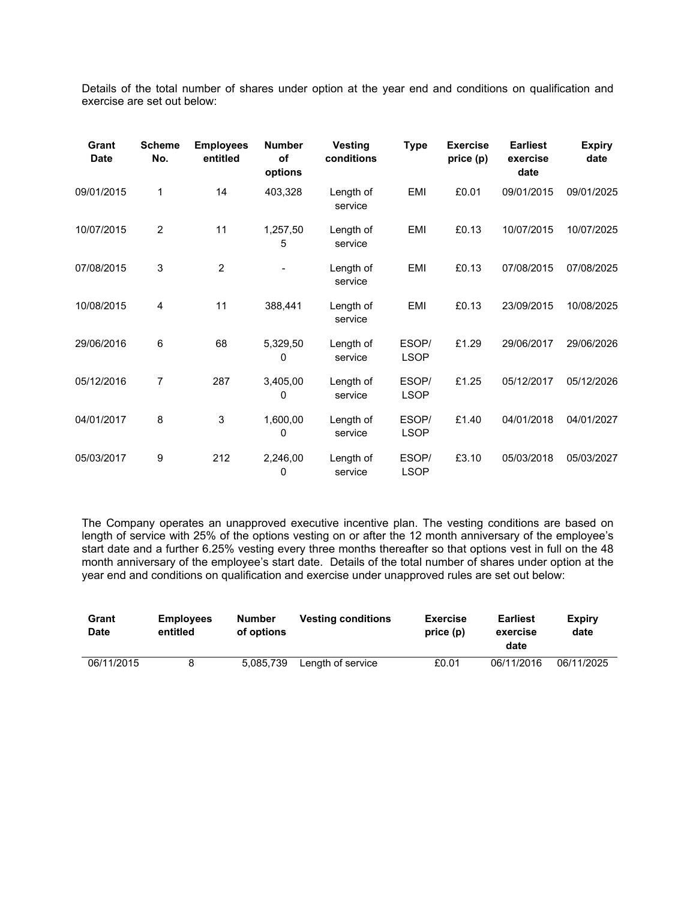Details of the total number of shares under option at the year end and conditions on qualification and exercise are set out below:

| Grant<br><b>Date</b> | <b>Scheme</b><br>No. | <b>Employees</b><br>entitled | <b>Number</b><br>of<br>options | <b>Vesting</b><br>conditions | <b>Type</b>          | <b>Exercise</b><br>price (p) | <b>Earliest</b><br>exercise<br>date | <b>Expiry</b><br>date |
|----------------------|----------------------|------------------------------|--------------------------------|------------------------------|----------------------|------------------------------|-------------------------------------|-----------------------|
| 09/01/2015           | 1                    | 14                           | 403,328                        | Length of<br>service         | EMI                  | £0.01                        | 09/01/2015                          | 09/01/2025            |
| 10/07/2015           | $\overline{2}$       | 11                           | 1,257,50<br>5                  | Length of<br>service         | EMI                  | £0.13                        | 10/07/2015                          | 10/07/2025            |
| 07/08/2015           | 3                    | $\overline{2}$               |                                | Length of<br>service         | EMI                  | £0.13                        | 07/08/2015                          | 07/08/2025            |
| 10/08/2015           | 4                    | 11                           | 388,441                        | Length of<br>service         | EMI                  | £0.13                        | 23/09/2015                          | 10/08/2025            |
| 29/06/2016           | 6                    | 68                           | 5,329,50<br>0                  | Length of<br>service         | ESOP/<br><b>LSOP</b> | £1.29                        | 29/06/2017                          | 29/06/2026            |
| 05/12/2016           | 7                    | 287                          | 3,405,00<br>0                  | Length of<br>service         | ESOP/<br><b>LSOP</b> | £1.25                        | 05/12/2017                          | 05/12/2026            |
| 04/01/2017           | 8                    | $\sqrt{3}$                   | 1,600,00<br>$\Omega$           | Length of<br>service         | ESOP/<br><b>LSOP</b> | £1.40                        | 04/01/2018                          | 04/01/2027            |
| 05/03/2017           | 9                    | 212                          | 2,246,00<br>0                  | Length of<br>service         | ESOP/<br><b>LSOP</b> | £3.10                        | 05/03/2018                          | 05/03/2027            |

The Company operates an unapproved executive incentive plan. The vesting conditions are based on length of service with 25% of the options vesting on or after the 12 month anniversary of the employee's start date and a further 6.25% vesting every three months thereafter so that options vest in full on the 48 month anniversary of the employee's start date. Details of the total number of shares under option at the year end and conditions on qualification and exercise under unapproved rules are set out below:

| Grant<br><b>Date</b> | <b>Employees</b><br>entitled | Number<br>of options | <b>Vesting conditions</b> | <b>Exercise</b><br>price(p) | <b>Earliest</b><br>exercise<br>date | Expiry<br>date |
|----------------------|------------------------------|----------------------|---------------------------|-----------------------------|-------------------------------------|----------------|
| 06/11/2015           |                              | 5.085.739            | Length of service         | £0.01                       | 06/11/2016                          | 06/11/2025     |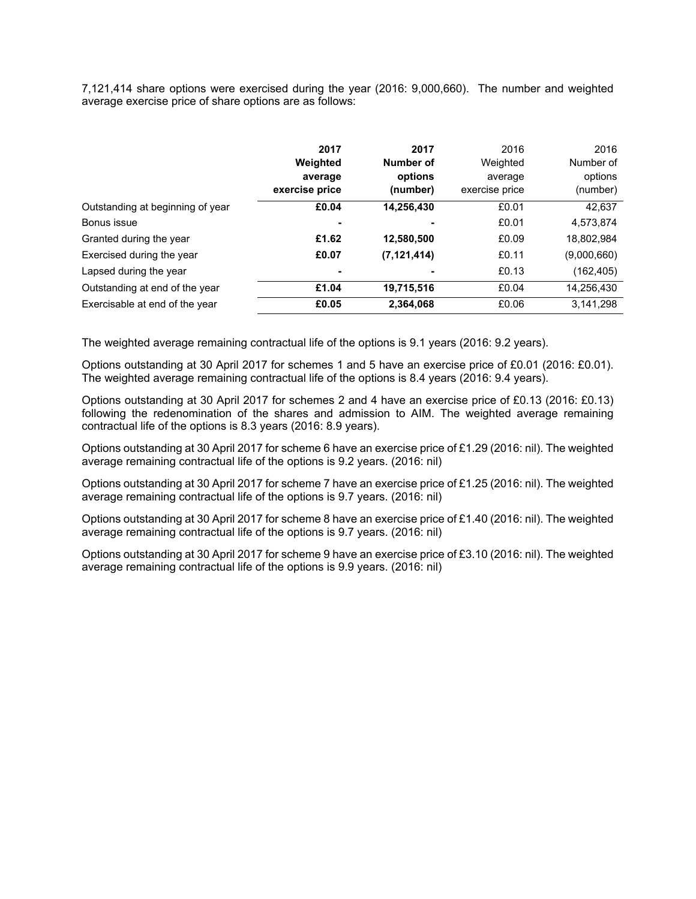7,121,414 share options were exercised during the year (2016: 9,000,660). The number and weighted average exercise price of share options are as follows:

|                                  | 2017<br>Weighted<br>average<br>exercise price | 2017<br>Number of<br>options<br>(number) | 2016<br>Weighted<br>average<br>exercise price | 2016<br>Number of<br>options<br>(number) |
|----------------------------------|-----------------------------------------------|------------------------------------------|-----------------------------------------------|------------------------------------------|
| Outstanding at beginning of year | £0.04                                         | 14,256,430                               | £0.01                                         | 42.637                                   |
| Bonus issue                      |                                               |                                          | £0.01                                         | 4,573,874                                |
| Granted during the year          | £1.62                                         | 12,580,500                               | £0.09                                         | 18,802,984                               |
| Exercised during the year        | £0.07                                         | (7, 121, 414)                            | £0.11                                         | (9,000,660)                              |
| Lapsed during the year           |                                               | ٠                                        | £0.13                                         | (162, 405)                               |
| Outstanding at end of the year   | £1.04                                         | 19,715,516                               | £0.04                                         | 14,256,430                               |
| Exercisable at end of the year   | £0.05                                         | 2,364,068                                | £0.06                                         | 3,141,298                                |

The weighted average remaining contractual life of the options is 9.1 years (2016: 9.2 years).

Options outstanding at 30 April 2017 for schemes 1 and 5 have an exercise price of £0.01 (2016: £0.01). The weighted average remaining contractual life of the options is 8.4 years (2016: 9.4 years).

Options outstanding at 30 April 2017 for schemes 2 and 4 have an exercise price of £0.13 (2016: £0.13) following the redenomination of the shares and admission to AIM. The weighted average remaining contractual life of the options is 8.3 years (2016: 8.9 years).

Options outstanding at 30 April 2017 for scheme 6 have an exercise price of £1.29 (2016: nil). The weighted average remaining contractual life of the options is 9.2 years. (2016: nil)

Options outstanding at 30 April 2017 for scheme 7 have an exercise price of £1.25 (2016: nil). The weighted average remaining contractual life of the options is 9.7 years. (2016: nil)

Options outstanding at 30 April 2017 for scheme 8 have an exercise price of £1.40 (2016: nil). The weighted average remaining contractual life of the options is 9.7 years. (2016: nil)

Options outstanding at 30 April 2017 for scheme 9 have an exercise price of £3.10 (2016: nil). The weighted average remaining contractual life of the options is 9.9 years. (2016: nil)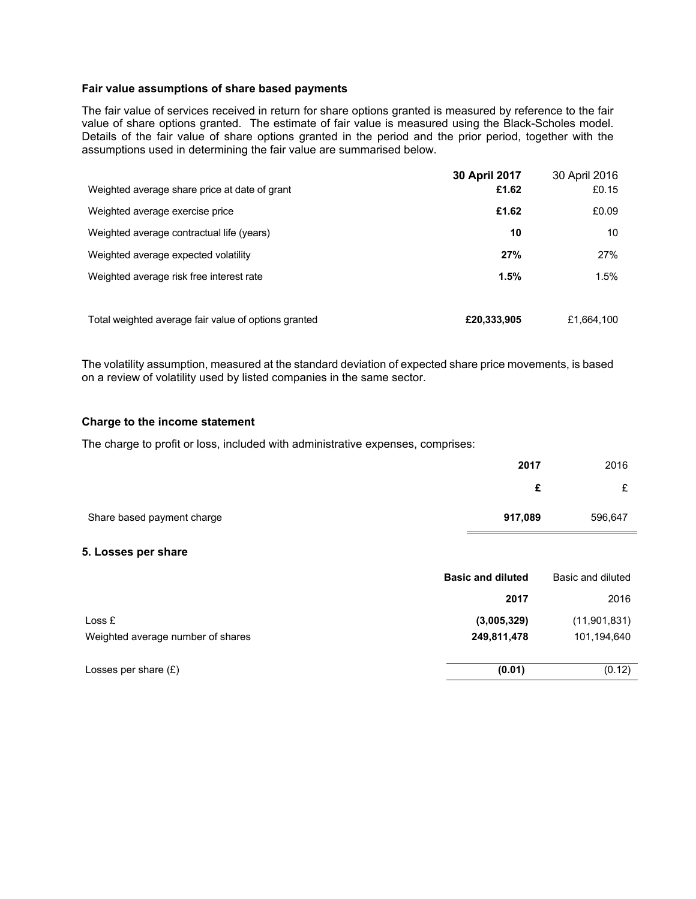### **Fair value assumptions of share based payments**

The fair value of services received in return for share options granted is measured by reference to the fair value of share options granted. The estimate of fair value is measured using the Black-Scholes model. Details of the fair value of share options granted in the period and the prior period, together with the assumptions used in determining the fair value are summarised below.

| Weighted average share price at date of grant        | 30 April 2017<br>£1.62 | 30 April 2016<br>£0.15 |
|------------------------------------------------------|------------------------|------------------------|
| Weighted average exercise price                      | £1.62                  | £0.09                  |
| Weighted average contractual life (years)            | 10                     | 10                     |
| Weighted average expected volatility                 | 27%                    | 27%                    |
| Weighted average risk free interest rate             | 1.5%                   | 1.5%                   |
| Total weighted average fair value of options granted | £20.333.905            | £1,664,100             |

The volatility assumption, measured at the standard deviation of expected share price movements, is based on a review of volatility used by listed companies in the same sector.

#### **Charge to the income statement**

The charge to profit or loss, included with administrative expenses, comprises:

|                            | 2017    | 2016    |
|----------------------------|---------|---------|
|                            | £       | £       |
| Share based payment charge | 917,089 | 596,647 |

### **5. Losses per share**

|                                   | <b>Basic and diluted</b> | Basic and diluted |
|-----------------------------------|--------------------------|-------------------|
|                                   | 2017                     | 2016              |
| Loss E                            | (3,005,329)              | (11,901,831)      |
| Weighted average number of shares | 249,811,478              | 101,194,640       |
|                                   |                          |                   |
| Losses per share $(E)$            | (0.01)                   | (0.12)            |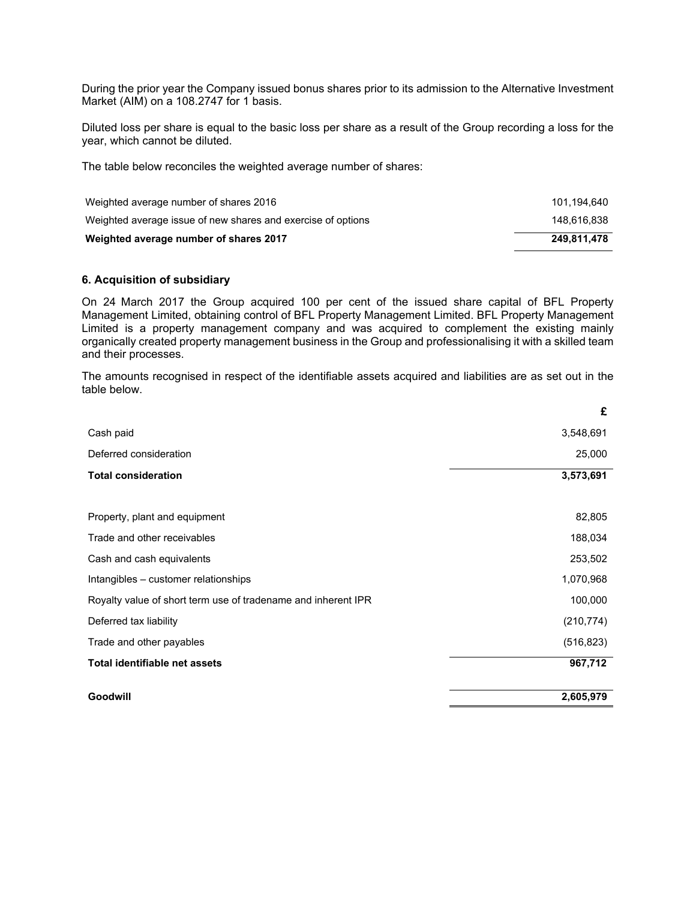During the prior year the Company issued bonus shares prior to its admission to the Alternative Investment Market (AIM) on a 108.2747 for 1 basis.

Diluted loss per share is equal to the basic loss per share as a result of the Group recording a loss for the year, which cannot be diluted.

The table below reconciles the weighted average number of shares:

| Weighted average number of shares 2016                       | 101.194.640 |
|--------------------------------------------------------------|-------------|
| Weighted average issue of new shares and exercise of options | 148.616.838 |
| Weighted average number of shares 2017                       | 249.811.478 |

### **6. Acquisition of subsidiary**

On 24 March 2017 the Group acquired 100 per cent of the issued share capital of BFL Property Management Limited, obtaining control of BFL Property Management Limited. BFL Property Management Limited is a property management company and was acquired to complement the existing mainly organically created property management business in the Group and professionalising it with a skilled team and their processes.

The amounts recognised in respect of the identifiable assets acquired and liabilities are as set out in the table below.

| Goodwill                                                      | 2,605,979  |
|---------------------------------------------------------------|------------|
| <b>Total identifiable net assets</b>                          | 967,712    |
| Trade and other payables                                      | (516, 823) |
| Deferred tax liability                                        | (210, 774) |
| Royalty value of short term use of tradename and inherent IPR | 100,000    |
| Intangibles - customer relationships                          | 1,070,968  |
| Cash and cash equivalents                                     | 253,502    |
| Trade and other receivables                                   | 188,034    |
| Property, plant and equipment                                 | 82,805     |
|                                                               |            |
| <b>Total consideration</b>                                    | 3,573,691  |
| Deferred consideration                                        | 25,000     |
| Cash paid                                                     | 3,548,691  |
|                                                               | £          |